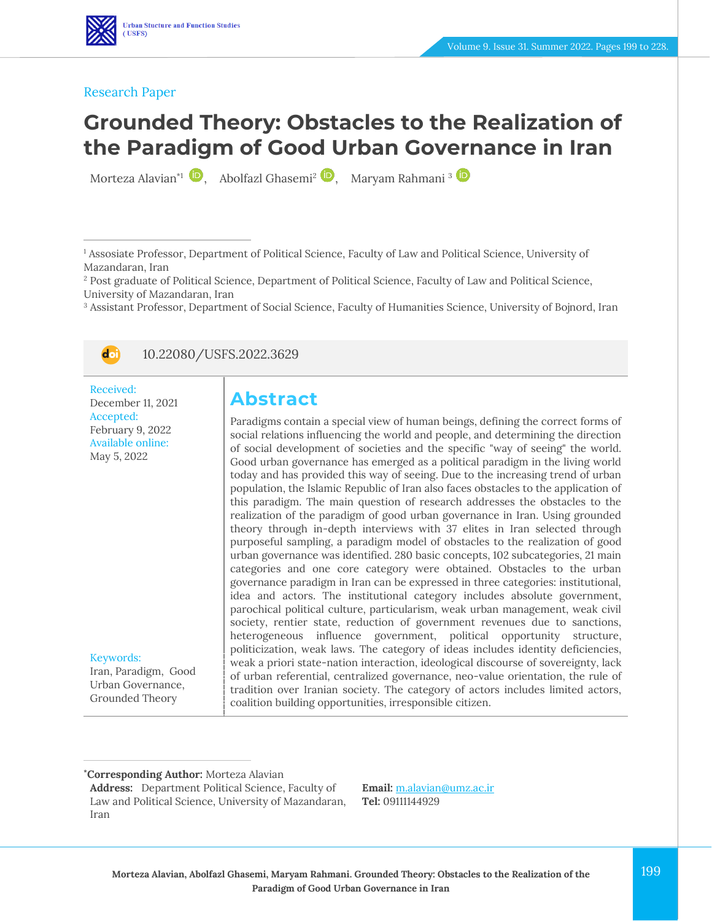

# **Grounded Theory: Obstacles to the Realization of the Paradigm of Good Urban Governance in Iran**

Morteza Alavian<sup>\*1</sup> (b), Abolfazl Ghasemi<sup>2</sup> (b), Maryam Rahmani<sup>3</sup>

<sup>1</sup> Assosiate Professor, Department of Political Science, Faculty of Law and Political Science, University of Mazandaran, Iran

<sup>2</sup> Post graduate of Political Science, Department of Political Science, Faculty of Law and Political Science, University of Mazandaran, Iran

<sup>3</sup> Assistant Professor, Department of Social Science, Faculty of Humanities Science, University of Bojnord, Iran



10.22080/USFS.2022.3629

Received: December 11, 2021 Accepted: February 9, 2022 Available online: May 5, 2022

Keywords:

Iran, Paradigm, Good Urban Governance, Grounded Theory

## **Abstract**

Paradigms contain a special view of human beings, defining the correct forms of social relations influencing the world and people, and determining the direction of social development of societies and the specific "way of seeing" the world. Good urban governance has emerged as a political paradigm in the living world today and has provided this way of seeing. Due to the increasing trend of urban population, the Islamic Republic of Iran also faces obstacles to the application of this paradigm. The main question of research addresses the obstacles to the realization of the paradigm of good urban governance in Iran. Using grounded theory through in-depth interviews with 37 elites in Iran selected through purposeful sampling, a paradigm model of obstacles to the realization of good urban governance was identified. 280 basic concepts, 102 subcategories, 21 main categories and one core category were obtained. Obstacles to the urban governance paradigm in Iran can be expressed in three categories: institutional, idea and actors. The institutional category includes absolute government, parochical political culture, particularism, weak urban management, weak civil society, rentier state, reduction of government revenues due to sanctions, heterogeneous influence government, political opportunity structure, politicization, weak laws. The category of ideas includes identity deficiencies, weak a priori state-nation interaction, ideological discourse of sovereignty, lack of urban referential, centralized governance, neo-value orientation, the rule of tradition over Iranian society. The category of actors includes limited actors, coalition building opportunities, irresponsible citizen.

**Email:** [m.alavian@umz.ac.ir](file:///C:/Users/farha/Desktop/UFTS-01-1401/Temp/m.alavian@umz.ac.ir) **Tel:** 09111144929

**<sup>\*</sup>Corresponding Author:** Morteza Alavian

**Address:** Department Political Science, Faculty of Law and Political Science, University of Mazandaran, Iran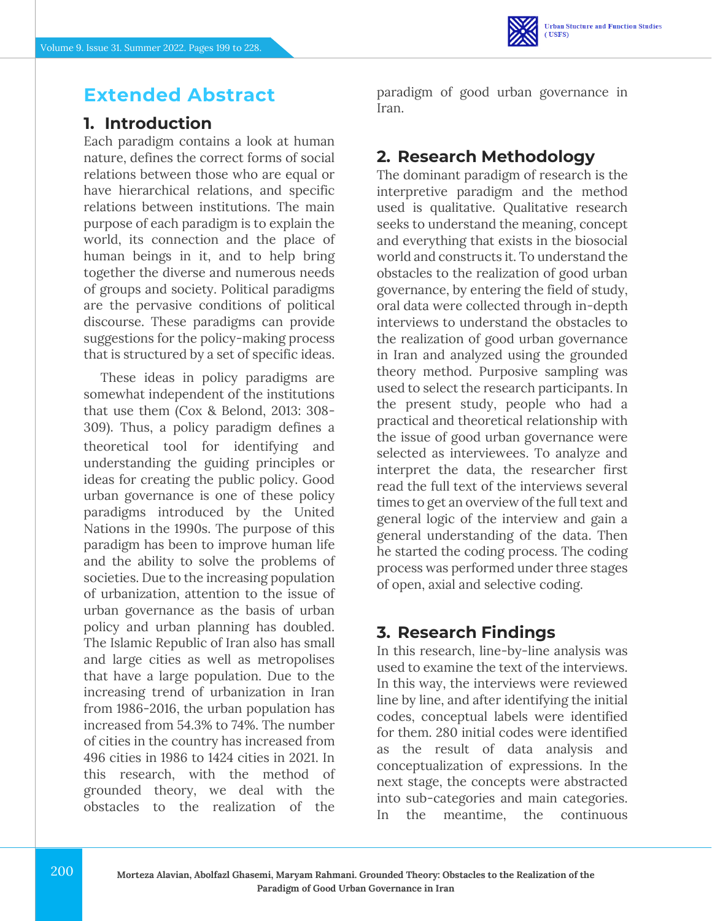

## **Extended Abstract**

### **1. Introduction**

Each paradigm contains a look at human nature, defines the correct forms of social relations between those who are equal or have hierarchical relations, and specific relations between institutions. The main purpose of each paradigm is to explain the world, its connection and the place of human beings in it, and to help bring together the diverse and numerous needs of groups and society. Political paradigms are the pervasive conditions of political discourse. These paradigms can provide suggestions for the policy-making process that is structured by a set of specific ideas.

These ideas in policy paradigms are somewhat independent of the institutions that use them (Cox & Belond, 2013: 308- 309). Thus, a policy paradigm defines a theoretical tool for identifying and understanding the guiding principles or ideas for creating the public policy. Good urban governance is one of these policy paradigms introduced by the United Nations in the 1990s. The purpose of this paradigm has been to improve human life and the ability to solve the problems of societies. Due to the increasing population of urbanization, attention to the issue of urban governance as the basis of urban policy and urban planning has doubled. The Islamic Republic of Iran also has small and large cities as well as metropolises that have a large population. Due to the increasing trend of urbanization in Iran from 1986-2016, the urban population has increased from 54.3% to 74%. The number of cities in the country has increased from 496 cities in 1986 to 1424 cities in 2021. In this research, with the method of grounded theory, we deal with the obstacles to the realization of the

paradigm of good urban governance in Iran.

### **2. Research Methodology**

The dominant paradigm of research is the interpretive paradigm and the method used is qualitative. Qualitative research seeks to understand the meaning, concept and everything that exists in the biosocial world and constructs it. To understand the obstacles to the realization of good urban governance, by entering the field of study, oral data were collected through in-depth interviews to understand the obstacles to the realization of good urban governance in Iran and analyzed using the grounded theory method. Purposive sampling was used to select the research participants. In the present study, people who had a practical and theoretical relationship with the issue of good urban governance were selected as interviewees. To analyze and interpret the data, the researcher first read the full text of the interviews several times to get an overview of the full text and general logic of the interview and gain a general understanding of the data. Then he started the coding process. The coding process was performed under three stages of open, axial and selective coding.

### **3. Research Findings**

In this research, line-by-line analysis was used to examine the text of the interviews. In this way, the interviews were reviewed line by line, and after identifying the initial codes, conceptual labels were identified for them. 280 initial codes were identified as the result of data analysis and conceptualization of expressions. In the next stage, the concepts were abstracted into sub-categories and main categories. In the meantime, the continuous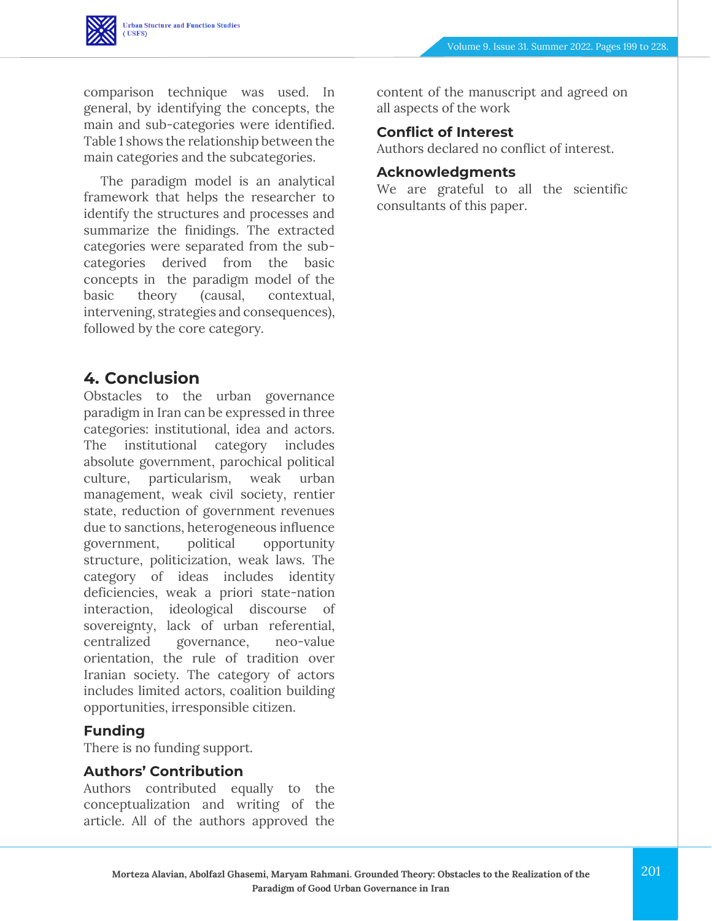comparison technique was used. In general, by identifying the concepts, the main and sub-categories were identified. Table 1 shows the relationship between the main categories and the subcategories.

The paradigm model is an analytical framework that helps the researcher to identify the structures and processes and summarize the finidings. The extracted categories were separated from the subcategories derived from the basic concepts in the paradigm model of the basic theory (causal, contextual, intervening, strategies and consequences), followed by the core category.

### **4. Conclusion**

Obstacles to the urban governance paradigm in Iran can be expressed in three categories: institutional, idea and actors. The institutional category includes absolute government, parochical political culture, particularism, weak urban management, weak civil society, rentier state, reduction of government revenues due to sanctions, heterogeneous influence government, political opportunity structure, politicization, weak laws. The category of ideas includes identity deficiencies, weak a priori state-nation interaction, ideological discourse of sovereignty, lack of urban referential, centralized governance, neo-value orientation, the rule of tradition over Iranian society. The category of actors includes limited actors, coalition building opportunities, irresponsible citizen.

#### **Funding**

There is no funding support.

#### **Authors' Contribution**

Authors contributed equally to the conceptualization and writing of the article. All of the authors approved the content of the manuscript and agreed on all aspects of the work

#### **Conflict of Interest**

Authors declared no conflict of interest.

#### **Acknowledgments**

We are grateful to all the scientific consultants of this paper.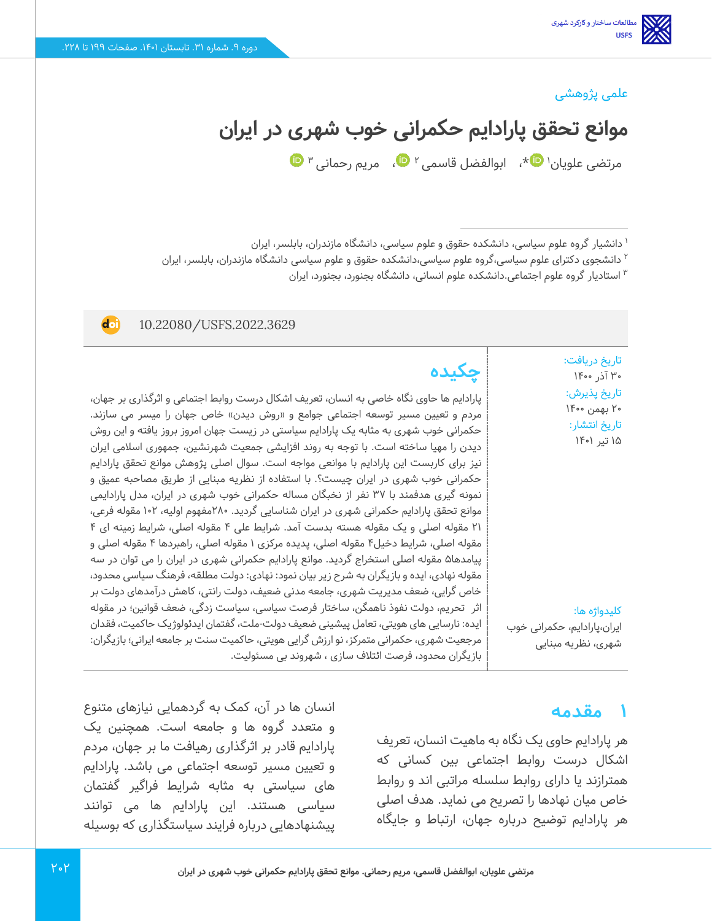#### علمی پژوهشی

**موانع تحقق پارادایم حکمرانی خوب شهری در ایران** 

مرتضی علویان' ™[\\*](https://www.orcid.org/0000000180868149)[،](https://www.orcid.org/0000000213936436) ابوالفضل قاسمی ۲ ™، مریم رحمانی ۳

1 دانشیار گروه علوم سیاسی، دانشکده حقوق و علوم سیاسی، دانشگاه مازندران، بابلسر، ایران

<sup>۲</sup> دانشجوی دکترای علوم سیاسی،گروه علوم سیاسی،دانشکده حقوق و علوم سیاسی دانشگاه مازندران، بابلسر، ایران

استادیار گروه علوم اجتماعی.دانشکده علوم انسانی، دانشگاه بجنورد، بجنورد، ایران <sup>3</sup>

#### **d**ot 10.22080/USFS.2022.3629 تاریخ دریافت: **چکیده** 30 آذر 1400 تاریخ پذیرش : پارادایم ها حاوی نگاه خاصی به انسان، تعریف اشکال درست روابط اجتماعی و اثرگذاری بر جهان، 20 بهمن 1400 مردم و تعیین مسیر توسعه اجتماعی جوامع و «روش دیدن» خاص جهان را میسر می سازند. تاریخ انتشار: حکمرانی خوب شهری به مثابه یک پارادایم سیاستی در زیست جهان امروز بروز یافته و این روش 15 تیر 1401 دیدن را مهیا ساخته است. با توجه به روند افزایشی جمعیت شهرنشین، جمهوری اسالمی ایران نیز برای کاربست این پارادایم با موانعی مواجه است. سوال اصلی پژوهش موانع تحقق پارادایم حکمرانی خوب شهری در ایران چیست؟. با استفاده از نظریه مبنایی از طریق مصاحبه عمیق و نمونه گیری هدفمند با 37 نفر از نخبگان مساله حکمرانی خوب شهری در ایران، مدل پارادایمی موانع تحقق پارادایم حکمرانی شهری در ایران شناسایی گردید. 280مفهوم اولیه، 102 مقوله فرعی، 21 مقوله اصلی و یک مقوله هسته بدست آمد. شرایط علی 4 مقوله اصلی، شرایط زمینه ای 4 مقوله اصلی، شرایط دخیل4 مقوله اصلی، پدیده مرکزی 1 مقوله اصلی، راهبردها 4 مقوله اصلی و پیامدها۵ مقوله اصلی استخراج گردید. موانع پارادایم حکمرانی شهری در ایران را می توان در سه مقوله نهادی، ایده و بازیگران به شرح زیر بیان نمود: نهادی: دولت مطلقه، فرهنگ سیاسی محدود، خاص گرایی، ضعف مدیریت شهری، جامعه مدنی ضعیف، دولت رانتی، کاهش درآمدهای دولت بر اثر تحریم، دولت نفوذ ناهمگن، ساختار فرصت سیاسی، سیاست زدگی، ضعف قوانین؛ در مقوله کلیدواژه ها: ایده: نارسایی های هویتی، تعامل پیشینی ضعیف دولت-ملت، گفتمان ایدئولوژیک حاکمیت، فقدان ایران،پارادایم، حکمرانی خوب مرجعیت شهری، حکمرانی متمرکز، نو ارزش گرایی هویتی، حاکمیت سنت بر جامعه ایرانی؛ بازیگران: شهری، نظریه مبنایی بازیگران محدود، فرصت ائتالف سازی ، شهروند بی مسئولیت.

#### **1 مقدمه**

هر پارادایم حاوی یک نگاه به ماهیت انسان، تعریف اشکال درست روابط اجتماعی بین کسانی که همترازند یا دارای روابط سلسله مراتبی اند و روابط خاص میان نهادها را تصریح می نماید. هدف اصلی هر پارادایم توضیح درباره جهان، ارتباط و جایگاه

انسان ها در آن، کمک به گر دهمایی نیازهای متنوع و متعدد گروه ها و جامعه است. همچنین یک پارادایم قادر بر اثرگذاری رهیافت ما بر جهان، مردم و تعیین مسیر توسعه اجتماعی می باشد. پارادایم های سیاستی به مثابه شرایط فراگیر گفتمان سیاسی هستند. این پارادایم ها می توانند پیشنهادهایی درباره فرا یند سیاستگذاری که بوسیله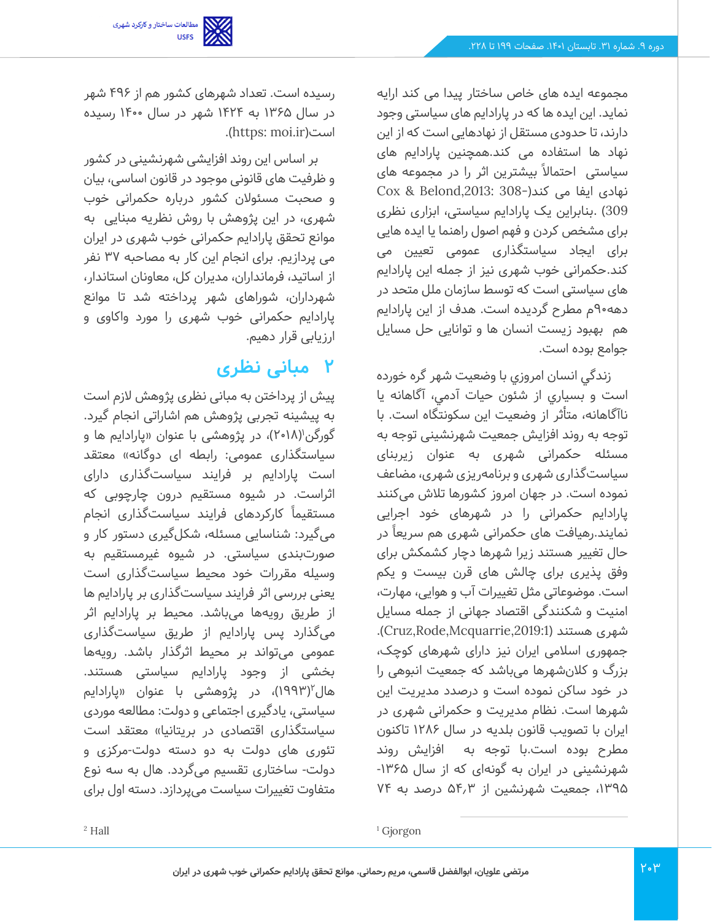مجموعه ایده های خاص ساختار پیدا می کند ارایه نماید. این ایده ها که در پارادایم های سیاستی وجود دارند، تا حدودی مستقل از نهادهایی است که از این نهاد ها استفاده می کند.همچنین پارادایم های سیاستی احتماال ً بیشترین اثر را در مجموعه های نهادی ایفا می کند)308- ,2013:Belond & Cox 309( .بنابراین یک پارادایم سیاستی، ابزاری نظری برای مشخص کردن و فهم اصول راهنما یا ایده هایی برای ایجاد سیاستگذاری عمومی تعیین می کند.حکمرانی خوب شهری نیز از جمله این پارادایم های سیاستی است که توسط سازمان ملل متحد در دهه90م مطرح گردیده است. هدف از این پارادایم هم بهبود زیست انسان ها و توانایی حل مسایل جوامع بوده است.

زندگي انسان امروزي با وضعيت شهر گره خورده است و بسياري از شئون حيات آدمي، آگاهانه يا ناآگاهانه، متأثر از وضعيت اين سكونتگاه است. با توجه به روند افزا یش جمعیت شهرنشینی توجه به مسئله حکمرانی شهری به عنوان زیربنای سیاستگذاری شهری و برنامهریزی شهری، مضاعف نموده است. در جهان امروز کشورها تالش می کنند پارادایم حکمرانی را در شهرهای خود اجرایی نمایند.رهیافت های حکمرانی شهری هم سریعاً در حال تغییر هستند زیرا شهرها دچار کشمکش برای وفق پذیری برای چالش های قرن بیست و یکم است. موضوعاتی مثل تغییرات آب و هوایی، مهارت، امنیت و شکنندگی اقتصاد جهانی از جمله مسایل .)Cruz,Rode,Mcquarrie,2019:1( هستند شهری جمهوری اسالمی ایران نیز دارای شهرهای کوچک، بزرگ و کالن شهرها می باشد که جمعیت انبوهی را در خود ساکن نموده است و درصدد مدیریت این شهرها است. نظام مدیریت و حکمرانی شهری در ایران با تصویب قانون بلدیه در سال 1286 تاکنون مطرح بوده است.با توجه به افزایش روند شهرنشینی در ایران به گونهای که از سال -1365 ،1395 جمعیت شهرنشین از 54.3 درصد به 74

رسیده است. تعداد شهرهای کشور هم از 496 شهر در سال 1365 به 1424 شهر در سال 1400 رسیده .)https: moi.ir(است

بر اساس این روند افزایشی شهرنشینی در کشور و ظرفیت های قانونی موجود در قانون اساسی، بیان و صحبت مسئوالن کشور درباره حکمرانی خوب شهری، در این پژوهش با روش نظریه مبنایی به موانع تحقق پارادایم حکمرانی خوب شهری در ایران می پردازیم. برای انجام این کار به مصاحبه 37 نفر از اساتید، فرمانداران، مدیران کل، معاونان استاندار، شهرداران، شوراهای شهر پرداخته شد تا موانع پارادایم حکمرانی خوب شهری را مورد واکاوی و ارزیابی قرار دهیم.

# **2 مبانی نظری**

پیش از پرداختن به مبانی نظری پژوهش الزم است به پیشینه تجربی پژوهش هم اشاراتی انجام گیرد. گورگن'(۲۰۱۸)، در پژوهشی با عنوان «پارادایم ها و سیاستگذاری عمومی: رابطه ای دوگانه» معتقد است پارادایم بر فرایند سیاستگذاری دارای اثراست. در شیوه مستقیم درون چارچوبی که مستقیماً کارکردهای فرایند سیاستگذاری انجام میگیرد: شناسایی مسئله، شکلگیری دستور کار و صورت بندی سیاستی. در شیوه غیرمستقیم به وسیله مقررات خود محیط سیاستگذاری است یعنی بررسی اثر فرایند سیاست گذاری بر پارادایم ها از طریق رویه ها می باشد. محیط بر پارادایم اثر میگذارد پس پارادایم از طریق سیاست گذاری عمومی می تواند بر محیط اثرگذار باشد. رویه ها بخشی از وجود پارادایم سیاستی هستند. هال ۱۹۹۳)، در پژوهشی با عنوان «پارادایم سیاستی، یادگیری اجتماعی و دولت: مطالعه موردی سیاستگذاری اقتصادی در بریتانیا» معتقد است تئوری های دولت به دو دسته دولت-مرکزی و دولت - ساختاری تقسیم می گردد. هال به سه نوع متفاوت تغییرات سیاست می پردازد. دسته اول برای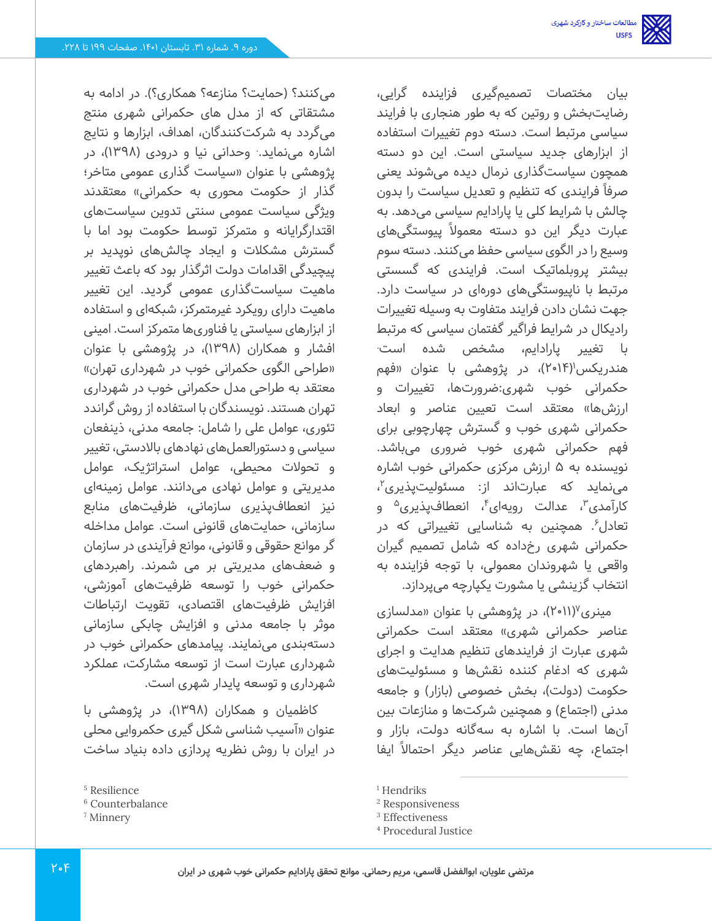بیان مختصات تصمیمگیری فزاینده گرایی، رضایت بخش و روتین که به طور هنجاری با فرایند سیاسی مرتبط است. دسته دوم تغییرات استفاده از ابزارهای جدید سیاستی است. این دو دسته همچون سیاست گذاری نرمال دیده می شوند یعنی صرفا ً فرایندی که تنظیم و تعدیل سیاست را بدون چالش با شرایط کلی یا پارادایم سیاسی می دهد. به عبارت دیگر این دو دسته معموال ً پیوستگیهای وسیع را در الگوی سیاسی حفظ می کنند. دسته سوم بیشتر پروبلماتیک است. فرایندی که گسستی مرتبط با ناپیوستگی های دورهای در سیاست دارد. جهت نشان دادن فرایند متفاوت به وسیله تغییرات رادیکال در شرایط فراگیر گفتمان سیاسی که مرتبط . با تغییر پارادایم، مشخص شده است هندریکس'(۲۰۱۴)، در پژوهشی با عنوان «فهم حکمرانی خوب شهری:ضرورتها، تغییرات و ارزشها» معتقد است تعیین عناصر و ابعاد حکمرانی شهری خوب و گسترش چهارچوبی برای فهم حکمرانی شهری خوب ضروری می باشد. نویسنده به 5 ارزش مرکزی حکمرانی خوب اشاره مینماید که عبارتاند از: مسئولیتپذیری<sup>۲</sup>، کارآمدی<sup>۳</sup>، عدالت رویهای<sup>۴</sup>، انعطافپذیری<sup>۵</sup> و تعادل<sup>۶</sup>. همچنین به شناسایی تغییراتی که در حکمرانی شهری رخ داده که شامل تصمیم گیران واقعی یا شهروندان معمولی، با توجه فزاینده به انتخاب گزینشی یا مشورت یکپارچه می پردازد .

مینری<sup>۷</sup>(۲۰۱۱)، در پژوهشی با عنوان «مدلسازی عناصر حکمرانی شهری» معتقد است حکمرانی شهری عبارت از فرایندهای تنظیم هدایت و اجرای شهری که ادغام کننده نقش ها و مسئولیت های حکومت (دولت)، بخش خصوصی (بازار) و جامعه مدنی (اجتماع) و همچنین شرکتها و منازعات بین آنها است. با اشاره به سهگانه دولت، بازار و اجتماع، چه نقشهایی عناصر دیگر احتمالاً ایفا

میکنند؟ (حمایت؟ منازعه؟ همکاری؟). در ادامه به مشتقاتی که از مدل های حکمرانی شهری منتج میگردد به شرکت کنندگان، اهداف، ابزارها و نتایج اشاره مینماید.<sup>.</sup> وحدانی نیا و درودی (۱۳۹۸)، در پژوهشی با عنوان »سیاست گذاری عمومی متاخر؛ گذار از حکومت محوری به حکمرانی» معتقدند ویژگی سیاست عمومی سنتی تدوین سیاست های اقتدارگرایانه و متمرکز توسط حکومت بود اما با گسترش مشکالت و ایجاد چالش های نوپدید بر پیچیدگی اقدامات دولت اثرگذار بود که باعث تغییر ماهیت سیاست گذاری عمومی گردید. این تغییر ماهیت دارای رویکرد غیرمتمرکز، شبکهای و استفاده از ابزارهای سیاستی یا فناوری ها متمرکز است. امینی افشار و همکاران ) 1398(، در پژوهشی با عنوان «طراحی الگوی حکمرانی خوب در شهرداری تهران» معتقد به طراحی مدل حکمرانی خوب در شهرداری تهران هستند. نویسندگان با استفاده از روش گراندد تئوری، عوامل علی را شامل: جامعه مدنی، ذینفعان سیاسی و دستورالعملهای نهادهای باالدستی، تغییر و تحوالت محیطی، عوامل استراتژیک، عوامل مدیریتی و عوامل نهادی می دانند. عوامل زمینهای نیز انعطافپذیری سازمانی، ظرفیتهای منابع سازمانی، حمایت های قانونی است. عوامل مداخله گر موانع حقوقی و قانونی، موانع فرآیندی در سازمان و ضعف های مدیریتی بر می شمرند. راهبردهای حکمرانی خوب را توسعه ظرفیت های آموزشی، افزایش ظرفیت های اقتصادی، تقویت ارتباطات موثر با جامعه مدنی و افزایش چابکی سازمانی دستهبندی می نمایند. پیامدهای حکمرانی خوب در شهرداری عبارت است از توسعه مشارکت، عملکرد شهرداری و توسعه پایدار شهری است.

کاظمیان و همکاران (۱۳۹۸)، در پژوهشی با عنوان »آسیب شناسی شکل گیری حکمروایی محلی در ایران با روش نظریه پردازی داده بنیاد ساخت

<sup>&</sup>lt;sup>1</sup> Hendriks

<sup>2</sup> Responsiveness

<sup>3</sup> Effectiveness

<sup>4</sup> Procedural Justice

<sup>5</sup> Resilience

<sup>6</sup> Counterbalance

<sup>7</sup> Minnery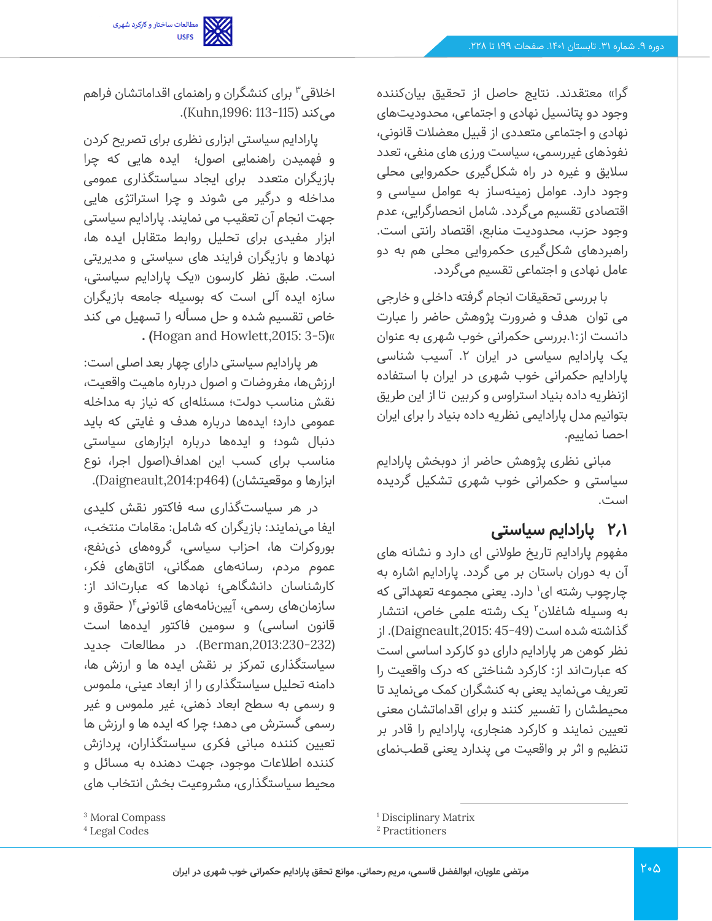

گرا» معتقدند. نتایج حاصل از تحقیق بیانکننده وجود دو پتانسیل نهادی و اجتماعی، محدودیت های نهادی و اجتماعی متعددی از قبیل معضالت قانونی، نفوذهای غیررسمی، سیاست ورزی های منفی، تعدد سالیق و غیره در راه شکل گیری حکمروایی محلی وجود دارد. عوامل زمینهساز به عوامل سیاسی و اقتصادی تقسیم می گردد. شامل انحصارگرایی، عدم وجود حزب، محدودیت منابع، اقتصاد رانتی است. راهبردهای شکل گیری حکمروایی محلی هم به دو عامل نهادی و اجتماعی تقسیم می گردد.

با بررسی تحقیقات انجام گرفته داخلی و خارجی می توان هدف و ضرورت پژوهش حاضر را عبارت دانست از.1:بررسی حکمرانی خوب شهری به عنوان یک پارادایم سیاسی در ایران ۲. آسیب شناسی پارادایم حکمرانی خوب شهری در ایران با استفاده ازنظریه داده بنیاد استراوس و کربین تا از این طریق بتوانیم مدل پارادایمی نظریه داده بنیاد را برای ایران احصا نماییم.

مبانی نظری پژوهش حاضر از دوبخش پارادایم سیاستی و حکمرانی خوب شهری تشکیل گردیده است.

### **2.1 پارادایم سیاستی**

مفهوم پارادایم تاریخ طوالنی ای دارد و نشانه های آن به دوران باستان بر می گردد. پارادایم اشاره به چارچوب رشته ای<sup>۱</sup> دارد. یعنی مجموعه تعهداتی که به وسیله شاغلان<sup>۲</sup> یک رشته علمی خاص، انتشار گذاشته شده است )45-49 ,2015:Daigneault). از نظر کوهن هر پارادایم دارای دو کارکرد اساسی است که عبارتاند از: کارکرد شناختی که درک واقعیت را تعریف می نماید یعنی به کنشگران کمک می نماید تا محیطشان را تفسیر کنند و برای اقداماتشان معنی تعیین نمایند و کارکرد هنجاری، پارادایم را قادر بر تنظیم و اثر بر واقعیت می پندارد یعنی قطب نمای

اخلاقی<sup>۳</sup> برای کنشگران و راهنمای اقداماتشان فراهم می)کند (113-113 Kuhn,1996: 113).

پارادایم سیاستی ابزاری نظری برای تصریح کردن و فهمیدن راهنمایی اصول؛ ایده هایی که چرا بازیگران متعدد برای ایجاد سیاستگذاری عمومی مداخله و درگیر می شوند و چرا استراتژی هایی جهت انجام آن تعقیب می نمایند. پارادایم سیاستی ابزار مفیدی برای تحلیل روابط متقابل ایده ها، نهادها و بازیگران فرایند های سیاستی و مدیریتی است. طبق نظر کارسون »یک پارادایم سیاستی، سازه ایده آلی است که بوسیله جامعه بازیگران خاص تقسیم شده و حل مسأله را تسهیل می کند  **. (**Hogan and Howlett,2015: 3-5**)**»

هر پارادایم سیاستی دارای چهار بعد اصلی است: ارزشها، مفروضات و اصول درباره ماهیت واقعیت، نقش مناسب دولت؛ مسئلهای که نیاز به مداخله عمومی دارد؛ ایده ها درباره هدف و غایتی که باید دنبال شود؛ و ایده ها درباره ابزارهای سیاستی مناسب برای کسب این اهداف)اصول اجرا، نوع ابزارها و موقعیتشان( ) 464p,2014:Daigneault).

در هر سیاست گذاری سه فاکتور نقش کلیدی ایفا می نمایند: بازیگران که شامل: مقامات منتخب، بوروکرات ها، احزاب سیاسی، گروههای ذی نفع، عموم مردم، رسانه های همگانی، اتاق های فکر، کارشناسان دانشگاهی؛ نهادها که عبارتاند از: سازمانهای رسمی، آییننامههای قانونی<sup>۴</sup>( حقوق و قانون اساسی) و سومین فاکتور ایدهها است ),2013:230-232Berman). در مطالعات جدید سیاستگذاری تمرکز بر نقش ایده ها و ارزش ها، دامنه تحلیل سیاستگذاری را از ابعاد عینی، ملموس و رسمی به سطح ابعاد ذهنی، غیر ملموس و غیر رسمی گسترش می دهد؛ چرا که ایده ها و ارزش ها تعیین کننده مبانی فکری سیاستگذاران، پردازش کننده اطالعات موجود، جهت دهنده به مسائل و محیط سیاستگذاری، مشروعیت بخش انتخاب های

<sup>3</sup> Moral Compass

<sup>4</sup> Legal Codes

<sup>1</sup> Disciplinary Matrix

<sup>2</sup> Practitioners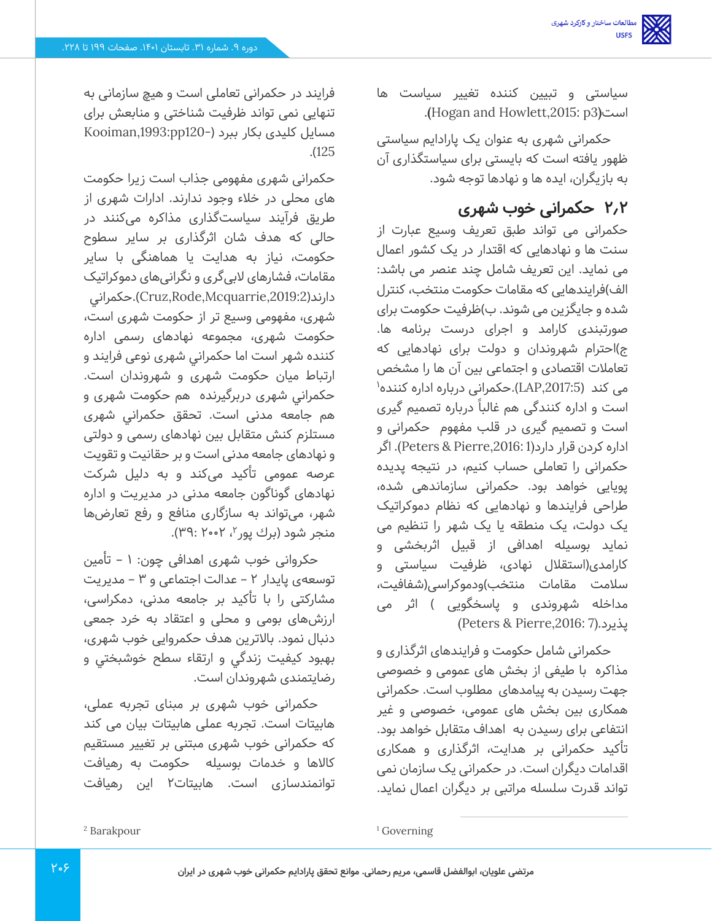سیاستی و تبیین کننده تغییر سیاست ها .**(**Hogan and Howlett,2015: p3**)**است

حکمرانی شهری به عنوان یک پارادایم سیاستی ظهور یافته است که بایستی برای سیاستگذاری آن به بازیگران، ایده ها و نهادها توجه شود.

# **2.2 حکمرانی خوب شهری**

حکمرانی می تواند طبق تعریف وسیع عبارت از سنت ها و نهادهایی که اقتدار در یک کشور اعمال می نماید. این تعریف شامل چند عنصر می باشد: الف)فرایندهایی که مقامات حکومت منتخب، کنترل شده و جایگزین می شوند. ب(ظرفیت حکومت برای صورتبندی کارامد و اجرای درست برنامه ها. ج(احترام شهروندان و دولت برای نهادهایی که تعامالت اقتصادی و اجتماعی بین آن ها را مشخص می کند (LAP,2017:5).حکمرانی درباره اداره کننده' است و اداره کنندگی هم غالبا ً درباره تصمیم گیری است و تصمیم گیری در قلب مفهوم حکمرانی و اداره کردن قرار دارد(1 ,2016:Pierre & Peters(. اگر حکمرانی را تعاملی حساب کنیم، در نتیجه پدیده پویایی خواهد بود. حکمرانی سازماندهی شده، طراحی فرایندها و نهادهایی که نظام دموکراتیک یک دولت، یک منطقه یا یک شهر را تنظیم می نماید بوسیله اهدافی از قبیل اثربخشی و کارامدی(استقلال نهادی، ظرفیت سیاستی و سالمت مقامات منتخب(ودموکراسی)شفافیت، مداخله شهروندی و پاسخگویی ) اثر می (Peters & Pierre,2016: 7).پذیرد

حکمرانی شامل حکومت و فرایندهای اثرگذاری و مذاکره با طیفی از بخش های عمومی و خصوصی جهت رسیدن به پیامدهای مطلوب است. حکمرانی همکاری بین بخش های عمومی، خصوصی و غیر انتفاعی برای رسیدن به اهداف متقابل خواهد بود. تأکید حکمرانی بر هدایت، اثرگذاری و همکاری اقدامات دیگران است. در حکمرانی یک سازمان نمی تواند قدرت سلسله مراتبی بر دیگران اعمال نماید.

فرایند در حکمرانی تعاملی است و هیچ سازمانی به تنهایی نمی تواند ظرفیت شناختی و منابعش برای مسایل کلیدی بکار ببرد )120-pp,1993:Kooiman .)125

حکمرانی شهری مفهومی جذاب است زیرا حکومت های محلی در خالء وجود ندارند. ادارات شهری از طریق فرآیند سیاست گذاری مذاکره می کنند در حالی که هدف شان اثرگذاری بر سایر سطوح حکومت، نیاز به هدایت یا هماهنگی با سایر مقامات، فشارهای البی گری و نگرانی های دموکراتیک دار ند),2019:2Mcquarrie,Rode,Cruz).حكمراني شهری، مفهومی وسیع تر از حکومت شهری است، حکومت شهری، مجموعه نهادهای رسمی اداره کننده شهر است اما حكمراني شهری نوعی فرایند و ارتباط میان حکومت شهری و شهروندان است. حكمراني شهری دربرگیرنده هم حکومت شهری و هم جامعه مدنی است. تحقق حكمراني شهری مستلزم کنش متقابل بین نهادهای رسمی و دولتی و نهادهای جامعه مدنی است و بر حقانیت و تقویت عرصه عمومی تأکید می کند و به دلیل شرکت نهادهای گوناگون جامعه مدنی در مدیریت و اداره شهر، می تواند به سازگاری منافع و رفع تعارض ها منجر شود (برك پور<sup>۲</sup>، ۲۰۰۲: ۳۹۲).

حکروانی خوب شهری اهدافی چون: ۱ – تأمین توسعهی پایدار 2 – عدالت اجتماعی و 3 – مدیریت مشارکتی را با تأکید بر جامعه مدنی، دمکراسی، ارزشهای بومی و محلی و اعتقاد به خرد جمعی دنبال نمود. باالترين هدف حکمروایی خوب شهری، بهبود كيفيت زندگي و ارتقاء سطح خوشبختي و رضایتمندی شهروندان است.

حکمرانی خوب شهری بر مبنای تجربه عملی، هابیتات است. تجربه عملی هابیتات بیان می کند که حکمرانی خوب شهری مبتنی بر تغییر مستقیم کاالها و خدمات بوسیله حکومت به رهیافت توانمندسازی است. هابیتات2 این رهیافت

<sup>1</sup> Governing

<sup>2</sup> Barakpour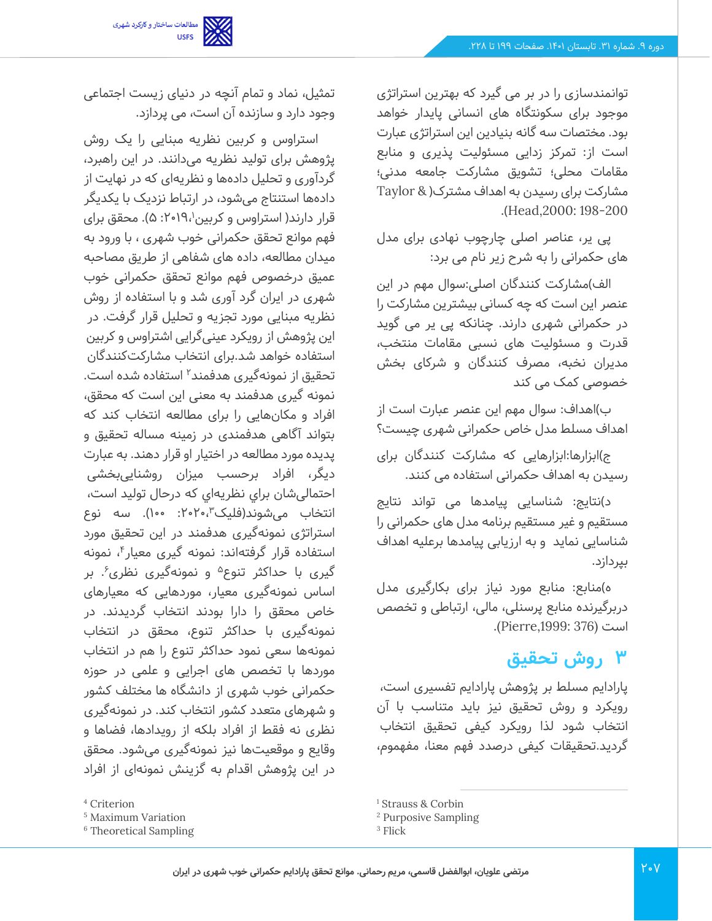

تمثیل، نماد و تمام آنچه در دنیای زیست اجتماعی

استراوس و کربین نظریه مبنایی را یک روش پژوهش برای تولید نظریه می دانند. در این راهبرد، گردآوری و تحلیل داده ها و نظریهای که در نهایت از داده ها استنتاج می شود، در ارتباط نزدیک با یکدیگر قرار دارند( استراوس و کربین ۲۰۱۹،<sup>۱</sup>: ۵). محقق برای فهم موانع تحقق حکمرانی خوب شهری ، با ورود به میدان مطالعه، داده های شفاهی از طریق مصاحبه عمیق درخصوص فهم موانع تحقق حکمرانی خوب شهری در ایران گرد آوری شد و با استفاده از روش نظریه مبنایی مورد تجزیه و تحلیل قرار گرفت. در این پژوهش از رویکرد عینی گرایی اشتراوس و کربین استفاده خواهد شد.برای انتخاب مشارکت کنندگان تحقیق از نمونهگیری هدفمند<sup>۲</sup> استفاده شده است. نمونه گیری هدفمند به معنی این است که محقق، افراد و مکان هایی را برای مطالعه انتخاب کند که بتواند آگاهی هدفمندی در زمینه مساله تحقیق و پدیده مورد مطالعه در اختیار او قرار دهند. به عبارت دیگر، افراد برحس ب میزان روشنایی بخشی احتمالی شان براي نظریه اي که درحال تولید است، انتخاب می شوند(فلیک۳،۲۰۲۰، ۱۰۰). سه نوع استراتژی نمونه گیری هدفمند در این تحقیق مورد استفاده قرار گرفتهاند: نمونه گیری معیار<sup>۴</sup>، نمونه گیری با حداکثر تنوع<sup>۵</sup> و نمونهگیری نظری ٔ. بر اساس نمونه گیری معیار، موردهایی که معیارهای خاص محقق را دارا بودند انتخاب گردیدند. در نمونه گیری با حداکثر تنوع، محقق در انتخاب نمونه ها سعی نمود حداکثر تنوع را هم در انتخاب موردها با تخصص های اجرایی و علمی در حوزه حکمرانی خوب شهری از دانشگاه ها مختلف کشور و شهرهای متعدد کشور انتخاب کند. در نمونه گیری نظری نه فقط از افراد بلکه از رویدادها، فضاها و وقایع و موقعیت ها نیز نمونهگیری میشود. محقق در این پژوهش اقدام به گزینش نمونهای از افراد

وجود دارد و سازنده آن است، می پردازد.

توانمندسازی را در بر می گیرد که بهترین استراتژی موجود برای سکونتگاه های انسانی پایدار خواهد بود. مختصات سه گانه بنیادین این استراتژی عبارت است از: تمرکز زدایی مسئولیت پذیری و منابع مقامات محلی؛ تشویق مشارکت جامعه مدنی؛ مشارکت برای رسیدن به اهداف مشترک) & Taylor .)Head,2000: 198-200

پی یر، عناصر اصلی چارچوب نهادی برای مدل های حکمرانی را به شرح زیر نام می برد:

الف)مشارکت کنندگان اصلی:سوال مهم در این عنصر این است که چه کسانی بیشترین مشارکت را در حکمرانی شهری دارند. چنانکه پی یر می گوید قدرت و مسئولیت های نسبی مقامات منتخب، مدیران نخبه، مصرف کنندگان و شرکای بخش خصوصی کمک می کند

ب(اهداف: سوال مهم این عنصر عبارت است از اهداف مسلط مدل خاص حکمرانی شهری چیست؟

ج(ابزارها:ابزارهایی که مشارکت کنندگان برای رسیدن به اهداف حکمرانی استفاده می کنند.

د)نتایج: شناسایی پیامدها می تواند نتایج مستقیم و غیر مستقیم برنامه مدل های حکمرانی را شناسایی نماید و به ارزیابی پیامدها برعلیه اهداف بپردازد.

ه(منابع: منابع مورد نیاز برای بکارگیری مدل دربرگیرنده منابع پرسنلی، مالی، ارتباطی و تخصص است (376 ,1999:Pierre(.

# **3 روش تحقیق**

پارادایم مسلط بر پژوهش پارادایم تفسیری است، رویکرد و روش تحقیق نیز باید متناسب با آن انتخاب شود لذا رویکرد کیفی تحقیق انتخاب گردید.تحقیقات کیفی درصدد فهم معنا، مفهموم،

<sup>4</sup> Criterion

<sup>5</sup> Maximum Variation

<sup>6</sup> Theoretical Sampling

<sup>&</sup>lt;sup>1</sup> Strauss & Corbin

<sup>2</sup> Purposive Sampling

<sup>&</sup>lt;sup>3</sup> Flick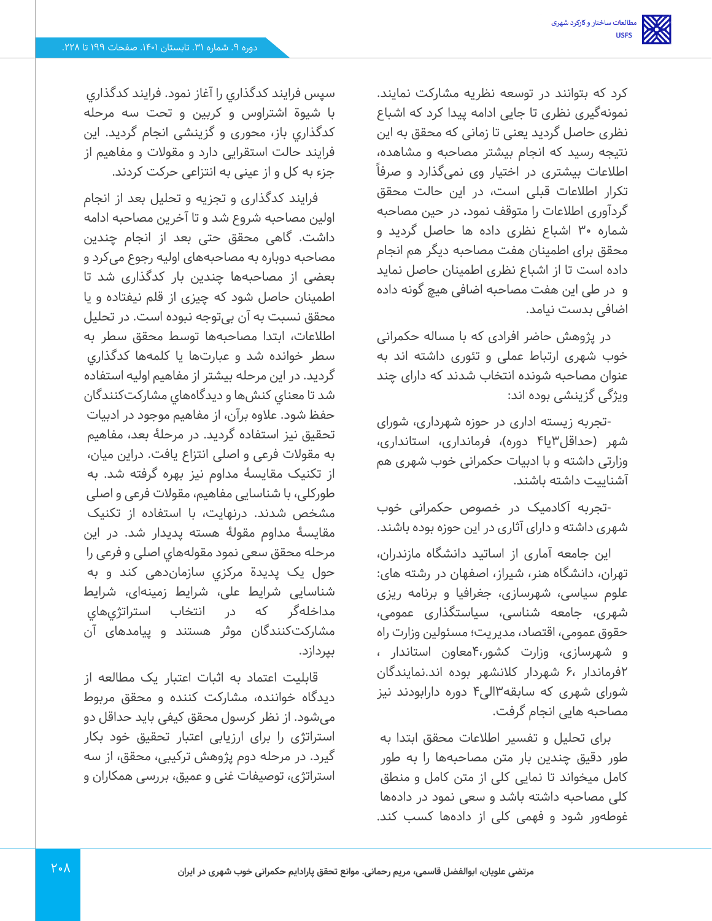کرد که بتوانند در توسعه نظریه مشارکت نمایند. نمونه گیری نظری تا جایی ادامه پیدا کرد که اشباع نظری حاصل گردید یعنی تا زمانی که محقق به این نتیجه رسید که انجام بیشتر مصاحبه و مشاهده، اطلاعات بیشتری در اختیار وی نمیگذارد و صرفاً تکرار اطالعات قبلی است، در این حالت محقق گردآوری اطالعات را متوقف نمود**.** در حین مصاحبه شماره 30 اشباع نظری داده ها حاصل گردید و محقق برای اطمینان هفت مصاحبه دیگر هم انجام داده است تا از اشباع نظری اطمینان حاصل نماید و در طی این هفت مصاحبه اضافی هیچ گونه داده اضافی بدست نیامد.

در پژوهش حاضر افرادی که با مساله حکمرانی خوب شهری ارتباط عملی و تئوری داشته اند به عنوان مصاحبه شونده انتخاب شدند که دارای چند ویژگی گزینشی بوده اند:

-تجربه زیسته اداری در حوزه شهرداری، شورای شهر )حداقل3یا4 دوره(، فرمانداری، استانداری، وزارتی داشته و با ادبیات حکمرانی خوب شهری هم آشناییت داشته باشند.

-تجربه آکادمیک در خصوص حکمرانی خوب شهری داشته و دارای آثاری در این حوزه بوده باشند.

این جامعه آماری از اساتید دانشگاه مازندران، تهران، دانشگاه هنر، شیراز، اصفهان در رشته های: علوم سیاسی، شهرسازی، جغرافیا و برنامه ریزی شهری، جامعه شناسی، سیاستگذاری عمومی، حقوق عمومی، اقتصاد، مدیریت؛ مسئولین وزارت راه و شهرسازی، وزارت کشور4،معاون استاندار ، 2فرماندار 6، شهردار کالنشهر بوده اند.نمایندگان شورای شهری که سابقه 3الی4 دوره دارابودند نیز مصاحبه هایی انجام گرفت.

برای تحلیل و تفسیر اطالعات محقق ابتدا به طور دقیق چندین بار متن مصاحبهها را به طور کامل میخواند تا نمایی کلی از متن کامل و منطق کلی مصاحبه داشته باشد و سعی نمود در داده ها غوطهور شود و فهمی کلی از دادهها کسب کند.

سپس فرایند کدگذاري را آغاز نمود. فرایند کدگذاري با شیوة اشتراوس و کربین و تحت سه مرحله کدگذاري باز، محوری و گزینشی انجام گردید. این فرایند حالت استقرایی دارد و مقوالت و مفاهیم از جزء به کل و از عینی به انتزاعی حرکت کردند.

فرایند کدگذاری و تجزیه و تحلیل بعد از انجام اولین مصاحبه شروع شد و تا آخرین مصاحبه ادامه داشت. گاهی محقق حتی بعد از انجام چندین مصاحبه دوباره به مصاحبههای اولیه رجوع می کرد و بعضی از مصاحبه ها چندین بار کدگذاری شد تا اطمینان حاصل شود که چیزی از قلم نیفتاده و یا محقق نسبت به آن بی توجه نبوده است. در تحلیل اطالعات، ابتدا مصاحبه ها توسط محقق سطر به سطر خوانده شد و عبارتها یا کلمه ها کدگذاري گردید. در این مرحله بیشتر از مفاهیم اولیه استفاده شد تا معناي کنش ها و دیدگاههاي مشارکت کنندگان حفظ شود. عالوه برآن، از مفاهیم موجود در ادبیات تحقیق نیز استفاده گردید. در مرحلۀ بعد، مفاهیم به مقوالت فرعی و اصلی انتزاع یافت. دراین میان، از تکنیک مقایسۀ مداوم نیز بهره گرفته شد. به طورکلی، با شناسایی مفاهیم، مقوالت فرعی و اصلی مشخص شدند. درنهایت، با استفاده از تکنیک مقایسۀ مداوم مقولۀ هسته پدیدار شد. در این مرحله محقق سعی نمود مقولههاي اصلی و فرعی را حول یک پدیدة مرکزي سازماندهی کند و به شناسایی شرایط علی ، شرایط زمینهای، شرایط مداخلهگر که در انتخاب استراتژي هاي مشارکت کنندگان موثر هستند و پیامدهای آن بپردازد.

قابلیت اعتماد به اثبات اعتبار یک مطالعه از دیدگاه خواننده، مشارکت کننده و محقق مربوط میشود. از نظر کرسول محقق کیفی باید حداقل دو استراتژی را برای ارزیابی اعتبار تحقیق خود بکار گیرد. در مرحله دوم پژوهش ترکیبی، محقق، از سه استراتژی، توصیفات غنی و عمیق، بررسی همکاران و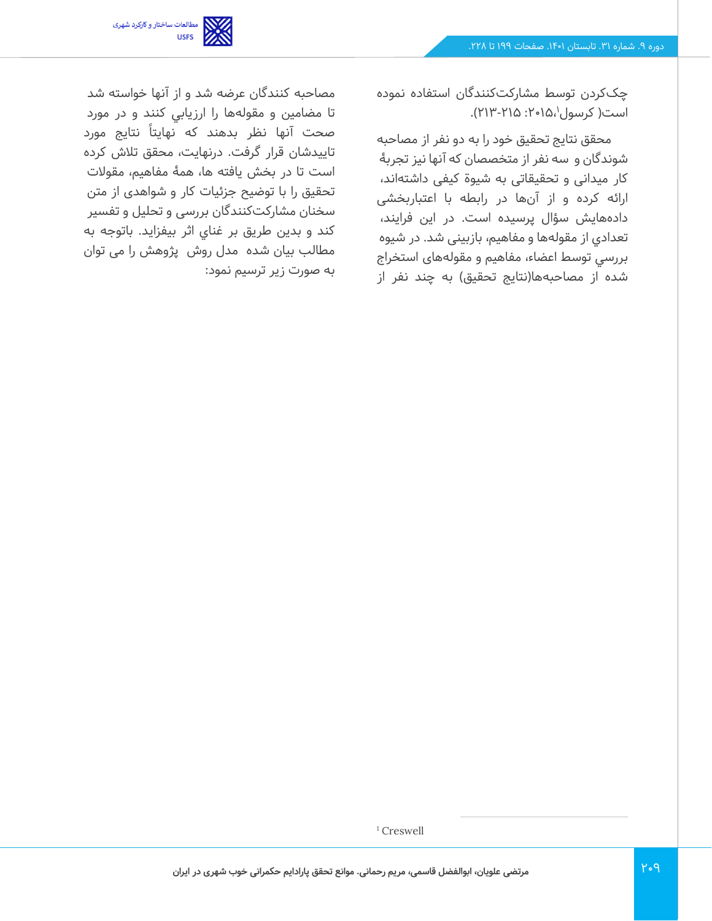

چککردن توسط مشارکت کنندگان استفاده نموده است( کرسول ٰ،۱۵،۱۵: ۲۱۵-۲۱۳).

محقق نتایج تحقیق خود را به دو نفر از مصاحبه شوندگان و سه نفر از متخصصان که آنها نیز تجربۀ کار میدانی و تحقیقاتی به شیوة کیفی داشته اند، ارائه کرده و از آنها در رابطه با اعتباربخشی داده هایش سؤال پرسیده است. در این فرایند، تعدادي از مقولهها و مفاهیم، بازبینی شد. در شيوه بررسي توسط اعضاء، مفاهیم و مقولههای استخراج شده از مصاحبهها(نتایج تحقیق) به چند نفر از

مصاحبه کنندگان عرضه شد و از آنها خواسته شد تا مضامين و مقولهها را ارزيابي كنند و در مورد صحت آنها نظر بدهند که نهایتاً نتایج مورد تاییدشان قرار گرفت. درنهایت، محقق تالش کرده است تا در بخش یافته ها، همۀ مفاهیم، مقوالت تحقیق را با توضیح جزئیات کار و شواهدی از متن سخنان مشارکت کنندگان بررسی و تحلیل و تفسیر کند و بدین طریق بر غناي اثر بیفزاید. باتوجه به مطالب بیان شده مدل روش پژوهش را می توان به صورت زیر ترسیم نمود:

<sup>&</sup>lt;sup>1</sup> Creswell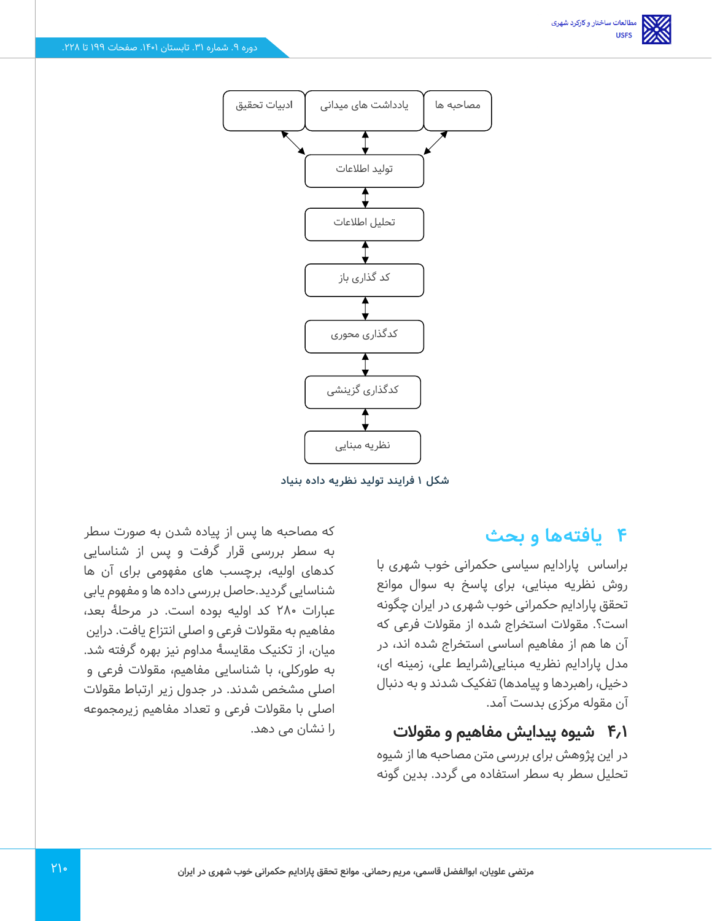

**شکل 1 فرایند تولید نظریه داده بنیاد** 

## **4 یافتهها و بحث**

براساس پارادایم سیاسی حکمرانی خوب شهری با روش نظریه مبنایی، برای پاسخ به سوال موانع تحقق پارادایم حکمرانی خوب شهری در ایران چگونه است؟. مقوالت استخراج شده از مقوالت فرعی که آن ها هم از مفاهیم اساسی استخراج شده اند، در مدل پارادایم نظریه مبنایی)شرایط علی، زمینه ای، دخیل، راهبردها و پیامدها) تفکیک شدند و به دنبال آن مقوله مرکزی بدست آمد.

### **4.1 شیوه پیدایش مفاهیم و مقوالت**

در این پژوهش برای بررسی متن مصاحبه ها از شیوه تحلیل سطر به سطر استفاده می گردد. بدین گونه

که مصاحبه ها پس از پیاده شدن به صورت سطر به سطر بررسی قرار گرفت و پس از شناسایی کدهای اولیه، برچسب های مفهومی برای آن ها شناسایی گردید.حاصل بررسی داده ها و مفهوم یابی عبارات 280 کد اولیه بوده است. در مرحلۀ بعد، مفاهیم به مقوالت فرعی و اصلی انتزاع یافت. دراین میان، از تکنیک مقایسۀ مداوم نیز بهره گرفته شد. به طورکلی، با شناسایی مفاهیم، مقوالت فرعی و اصلی مشخص شدند. در جدول زیر ارتباط مقوالت اصلی با مقوالت فرعی و تعداد مفاهیم زیرمجموعه را نشان می دهد.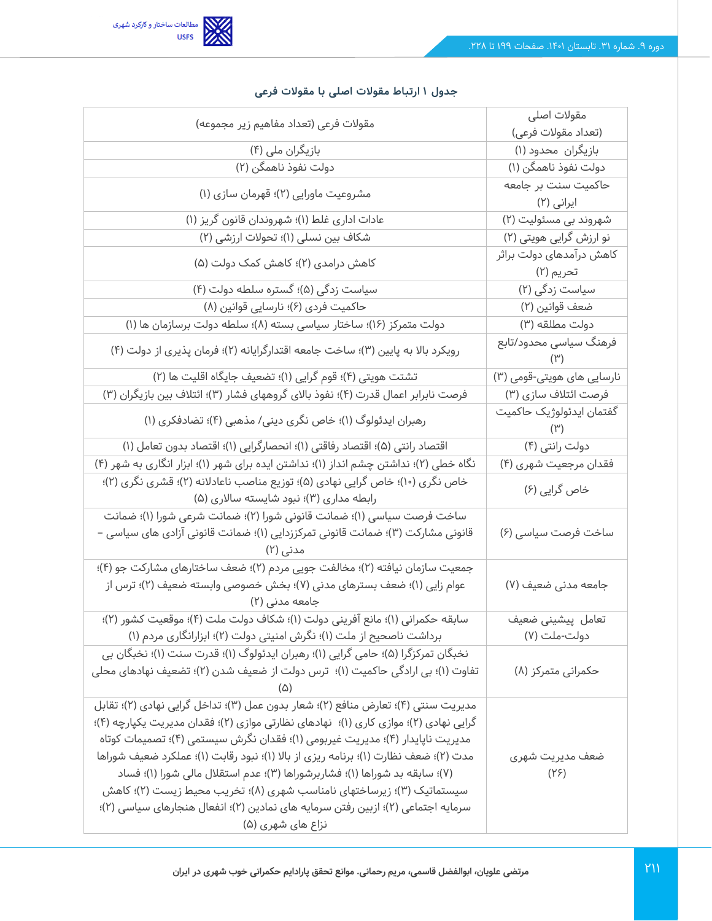

| مقولات فرعی (تعداد مفاهیم زیر مجموعه)                                                                                                                                                                                                                                                                                                                                                                                                                                                                                                                                                                               | مقولات اصلى<br>(تعداد مقولات فرعی)       |
|---------------------------------------------------------------------------------------------------------------------------------------------------------------------------------------------------------------------------------------------------------------------------------------------------------------------------------------------------------------------------------------------------------------------------------------------------------------------------------------------------------------------------------------------------------------------------------------------------------------------|------------------------------------------|
| بازیگران ملی (۴)                                                                                                                                                                                                                                                                                                                                                                                                                                                                                                                                                                                                    | بازیگران محدود (۱)                       |
| دولت نفوذ ناهمگن (۲)                                                                                                                                                                                                                                                                                                                                                                                                                                                                                                                                                                                                | دولت نفوذ ناهمگن (۱)                     |
| مشروعیت ماورایی (۲)؛ قهرمان سازی (۱)                                                                                                                                                                                                                                                                                                                                                                                                                                                                                                                                                                                | حاکمیت سنت بر جامعه                      |
|                                                                                                                                                                                                                                                                                                                                                                                                                                                                                                                                                                                                                     | ایرانی (۲)                               |
| عادات اداری غلط (۱)؛ شهروندان قانون گریز (۱)                                                                                                                                                                                                                                                                                                                                                                                                                                                                                                                                                                        | شهروند بی مسئولیت (۲)                    |
| شکاف بین نسلی (۱)؛ تحولات ارزشی (۲)                                                                                                                                                                                                                                                                                                                                                                                                                                                                                                                                                                                 | نو ارزش گرایی هویتی (۲)                  |
| کاهش درامدی (۲)؛ کاهش کمک دولت (۵)                                                                                                                                                                                                                                                                                                                                                                                                                                                                                                                                                                                  | کاهش درآمدهای دولت براثر<br>تحريم (۲)    |
| سیاست زدگی (۵)؛ گستره سلطه دولت (۴)                                                                                                                                                                                                                                                                                                                                                                                                                                                                                                                                                                                 | سیاست زدگی (۲)                           |
| حاکمیت فردی (۶)؛ نارسایی قوانین (۸)                                                                                                                                                                                                                                                                                                                                                                                                                                                                                                                                                                                 | ضعف قوانين (٢)                           |
| دولت متمركز (١۶)؛ ساختار سياسي بسته (٨)؛ سلطه دولت برسازمان ها (١)                                                                                                                                                                                                                                                                                                                                                                                                                                                                                                                                                  | دولت مطلقه (۳)                           |
| رویکرد بالا به پایین (۳)؛ ساخت جامعه اقتدارگرایانه (۲)؛ فرمان پذیری از دولت (۴)                                                                                                                                                                                                                                                                                                                                                                                                                                                                                                                                     | فرهنگ سیاسی محدود/تابع<br>$(\Upsilon)$   |
| تشتت هویتی (۴)؛ قوم گرایی (۱)؛ تضعیف جایگاه اقلیت ها (۲)                                                                                                                                                                                                                                                                                                                                                                                                                                                                                                                                                            | نارسایی های هویتی-قومی (۳)               |
| فرصت نابرابر اعمال قدرت (۴)؛ نفوذ بالای گروههای فشار (۳)؛ ائتلاف بین بازیگران (۳)                                                                                                                                                                                                                                                                                                                                                                                                                                                                                                                                   | فرصت ائتلاف سازی (۳)                     |
| رهبران ایدئولوگ (۱)؛ خاص نگری دینی/ مذهبی (۴)؛ تضادفکری (۱)                                                                                                                                                                                                                                                                                                                                                                                                                                                                                                                                                         | گفتمان ایدئولوژیک حاکمیت<br>$(\Upsilon)$ |
| اقتصاد رانتی (۵)؛ اقتصاد رفاقتی (۱)؛ انحصارگرایی (۱)؛ اقتصاد بدون تعامل (۱)                                                                                                                                                                                                                                                                                                                                                                                                                                                                                                                                         | دولت رانتی (۴)                           |
| نگاه خطی (۲)؛ نداشتن چشم انداز (۱)؛ نداشتن ایده برای شهر (۱)؛ ابزار انگاری به شهر (۴)                                                                                                                                                                                                                                                                                                                                                                                                                                                                                                                               | فقدان مرجعیت شهری (۴)                    |
| خاص نگری (١٠)؛ خاص گرایی نهادی (۵)؛ توزیع مناصب ناعادلانه (٢)؛ قشری نگری (٢)؛<br>رابطه مداری (۳)؛ نبود شایسته سالاری (۵)                                                                                                                                                                                                                                                                                                                                                                                                                                                                                            | خاص گرایی (۶)                            |
| ساخت فرصت سیاسی (۱)؛ ضمانت قانونی شورا (۲)؛ ضمانت شرعی شورا (۱)؛ ضمانت<br>قانونی مشارکت (۳)؛ ضمانت قانونی تمرکززدایی (۱)؛ ضمانت قانونی آزادی های سیاسی –<br>مدنی (۲)                                                                                                                                                                                                                                                                                                                                                                                                                                                | ساخت فرصت سیاسی (۶)                      |
| جمعیت سازمان نیافته (۲)؛ مخالفت جویی مردم (۲)؛ ضعف ساختارهای مشارکت جو (۴)؛<br>عوام زایی (۱)؛ ضعف بسترهای مدنی (۷)؛ بخش خصوصی وابسته ضعیف (۲)؛ ترس از<br>جامعه مدنی (۲)                                                                                                                                                                                                                                                                                                                                                                                                                                             | جامعه مدنی ضعیف (۷)                      |
| سابقه حكمراني (١)؛ مانع آفريني دولت (١)؛ شكاف دولت ملت (۴)؛ موقعيت كشور (٢)؛<br>برداشت ناصحیح از ملت (۱)؛ نگرش امنیتی دولت (۲)؛ ابزارانگاری مردم (۱)                                                                                                                                                                                                                                                                                                                                                                                                                                                                | تعامل پیشینی ضعیف<br>دولت-ملت (۷)        |
| نخبگان تمرکزگرا (۵)؛ حامی گرایی (۱)؛ رهبران ایدئولوگ (۱)؛ قدرت سنت (۱)؛ نخبگان بی<br>تفاوت (۱)؛ بی ارادگی حاکمیت (۱)؛  ترس دولت از ضعیف شدن (۲)؛ تضعیف نهادهای محلی                                                                                                                                                                                                                                                                                                                                                                                                                                                 | حکمرانی متمرکز (۸)                       |
| مديريت سنتي (۴)؛ تعارض منافع (۲)؛ شعار بدون عمل (۳)؛ تداخل گرايي نهادي (۲)؛ تقابل<br>گرایی نهادی (۲)؛ موازی کاری (۱)؛  نهادهای نظارتی موازی (۲)؛ فقدان مدیریت یکپارچه (۴)؛<br>مدیریت ناپایدار (۴)؛ مدیریت غیربومی (۱)؛ فقدان نگرش سیستمی (۴)؛ تصمیمات کوتاه<br>مدت (۲)؛ ضعف نظارت (۱)؛ برنامه ریزی از بالا (۱)؛ نبود رقابت (۱)؛ عملکرد ضعیف شوراها<br>(۷)؛ سابقه بد شوراها (۱)؛ فشاربرشوراها (۳)؛ عدم استقلال مالی شورا (۱)؛ فساد<br>سیستماتیک (۳)؛ زیرساختهای نامناسب شهری (۸)؛ تخریب محیط زیست (۲)؛ کاهش<br>سرمایه اجتماعی (۲)؛ ازبین رفتن سرمایه های نمادین (۲)؛ انفعال هنجارهای سیاسی (۲)؛<br>نزاع های شهری (۵) | ضعف مديريت شهرى<br>(Y5)                  |

#### **جدول 1 ارتباط مقوالت اصلی با مقوالت فرعی**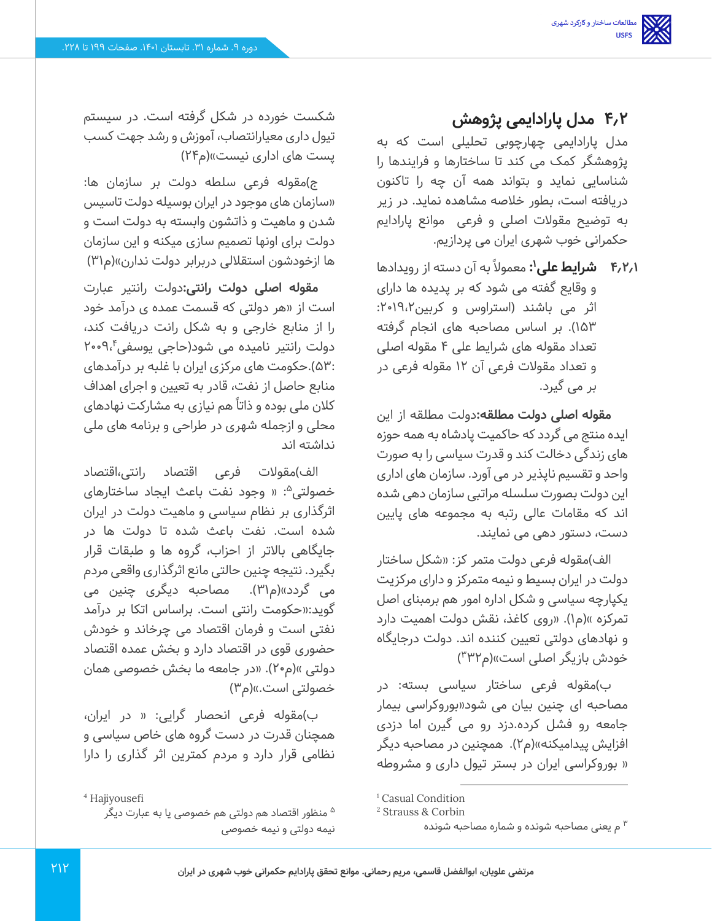## **4.2 مدل پارادایمی پژوهش**

مدل پارادایمی چهارچوبی تحلیلی است که به پژوهشگر کمک می کند تا ساختارها و فرایندها را شناسایی نماید و بتواند همه آن چه را تاکنون دریافته است، بطور خالصه مشاهده نماید. در زیر به توضیح مقوالت اصلی و فرعی موانع پارادایم حکمرانی خوب شهری ایران می پردازیم.

**۴٫۲٫۱ شرایط علی':** معمولاً به آن دسته از رویدادها و وقایع گفته می شود که بر پدیده ها دارای اثر می باشند )استراوس و کربین :2019،2 153(. بر اساس مصاحبه های انجام گرفته تعداد مقوله های شرایط علی 4 مقوله اصلی و تعداد مقوالت فرعی آن 12 مقوله فرعی در بر می گیرد.

**مقوله اصلی دولت مطلقه:**دولت مطلقه از این ایده منتج می گردد که حاکمیت پادشاه به همه حوزه های زندگی دخالت کند و قدرت سیاسی را به صورت واحد و تقسیم ناپذیر در می آورد. سازمان های اداری این دولت بصورت سلسله مراتبی سازمان دهی شده اند که مقامات عالی رتبه به مجموعه های پایین دست، دستور دهی می نمایند.

الف)مقوله فرعی دولت متمر کز: «شکل ساختار دولت در ایران بسیط و نیمه متمرکز و دارای مرکزیت یکپارچه سیاسی و شکل اداره امور هم برمبنای اصل تمرکزه »(م۱). «روی کاغذ، نقش دولت اهمیت دارد و نهادهای دولتی تعیین کننده اند. دولت درجایگاه خودش بازیگر اصلی است»(م۳۳۲)

ب(مقوله فرعی ساختار سیاسی بسته: در مصاحبه ای چنین بیان می شود»بوروکراسی بیمار جامعه رو فشل کرده.دزد رو می گیرن اما دزدی افزایش پیدامیکنه«)م2(. همچنین در مصاحبه دیگر » بوروکراسی ایران در بستر تیول داری و مشروطه

شکست خورده در شکل گرفته است. در سیستم تیول داری معیارانتصاب، آموزش و رشد جهت کسب پست های اداری نیست«)م 24(

ج(مقوله فرعی سلطه دولت بر سازمان ها: »سازمان های موجود در ایران بوسیله دولت تاسیس شدن و ماهیت و ذاتشون وابسته به دولت است و دولت برای اونها تصمیم سازی میکنه و این سازمان ها ازخودشون استقلالی دربرابر دولت ندارن»(م۳۱)

**مقوله اصلی دولت رانتی:** دولت رانتیر عبارت است از »هر دولتی که قسمت عمده ی درآمد خود را از منابع خارجی و به شکل رانت دریافت کند، دولت رانتیر نامیده می شود(حاجی یوسفی۲۰۰۹٬۴ 53:(.حکومت های مرکزی ایران با غلبه بر درآمدهای منابع حاصل از نفت، قادر به تعیین و اجرای اهداف کالن ملی بوده و ذاتا ًهم نیازی به مشارکت نهادهای محلی و ازجمله شهری در طراحی و برنامه های ملی نداشته اند

الف)مقولات فرعی اقتصاد رانتی،اقتصاد خصولتی<sup>۵</sup>: « وجود نفت باعث ایجاد ساختارهای اثرگذاری بر نظام سیاسی و ماهیت دولت در ایران شده است. نفت باعث شده تا دولت ها در جایگاهی باالتر از احزاب، گروه ها و طبقات قرار بگیرد. نتیجه چنین حالتی مانع اثرگذاری واقعی مردم می گردد»(م۳۱). مصاحبه دیگری چنین می گوید:»حکومت رانتی است. براساس اتکا بر درآمد نفتی است و فرمان اقتصاد می چرخاند و خودش حضوری قوی در اقتصاد دارد و بخش عمده اقتصاد دولتی »(م۲۰). «در جامعه ما بخش خصوصی همان خصولتی است.»(م۳)

ب(مقوله فرعی انحصار گرایی: » در ایران، همچنان قدرت در دست گروه های خاص سیاسی و نظامی قرار دارد و مردم کمترین اثر گذاری را دارا

<sup>&</sup>lt;sup>1</sup> Casual Condition

<sup>2</sup> Strauss & Corbin

م یعنی مصاحبه شونده و شماره مصاحبه شونده <sup>3</sup>

<sup>4</sup> Hajiyousefi

<sup>&</sup>lt;sup>ه</sup> منظور اقتصاد هم دولتی هم خصوصی یا به عبارت دیگر نیمه دولتی و نیمه خصوصی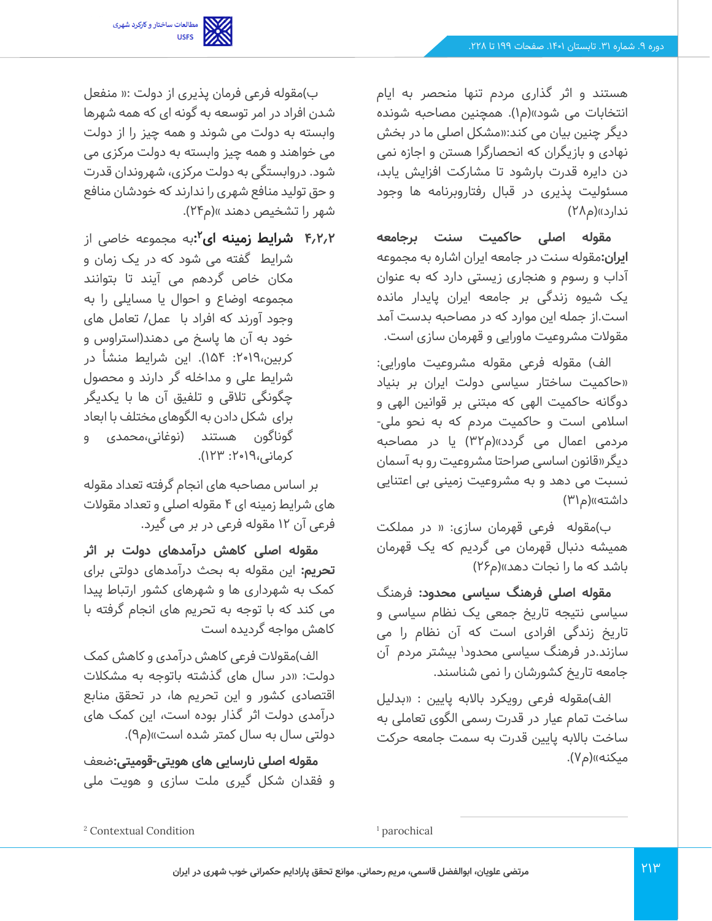

هستند و اثر گذاری مردم تنها منحصر به ایام انتخابات می شود»(م۱). همچنین مصاحبه شونده دیگر چنین بیان می کند:»مشکل اصلی ما در بخش نهادی و بازیگران که انحصارگرا هستن و اجازه نمی دن دایره قدرت بارشود تا مشارکت افزایش یابد، مسئولیت پذیری در قبال رفتاروبرنامه ها وجود ندارد»(م۲۸)

**مقوله اصلی حاکمیت سنت برجامعه ایران:**مقوله سنت در جامعه ایران اشاره به مجموعه آداب و رسوم و هنجاری زیستی دارد که به عنوان یک شیوه زندگی بر جامعه ایران پایدار مانده است.از جمله این موارد که در مصاحبه بدست آمد مقوالت مشروعیت ماورایی و قهرمان سازی است.

الف) مقوله فرعی مقوله مشروعیت ماورایی: »حاکمیت ساختار سیاسی دولت ایران بر بنیاد دوگانه حاکمیت الهی که مبتنی بر قوانین الهی و اسالمی است و حاکمیت مردم که به نحو ملی - مردمی اعمال می گردد«)م32( یا در مصاحبه دیگر»قانون اساسی صراحتا مشروعیت رو به آسمان نسبت می دهد و به مشروعیت زمینی بی اعتنایی داشته»(م۳۱)

ب(مقوله فرعی قهرمان سازی: » در مملکت همیشه دنبال قهرمان می گردیم که یک قهرمان باشد که ما را نجات دهد»(م۲۶)

**مقوله اصلی فرهنگ سیاسی محدود:** فرهنگ سیاسی نتیجه تاریخ جمعی یک نظام سیاسی و تاریخ زندگی افرادی است که آن نظام را می سازند.در فرهنگ سیاسی محدود<sup>۱</sup> بیشتر مردم آن جامعه تاریخ کشورشان را نمی شناسند.

الف)مقوله فرعی رویکرد بالابه پایین : «بدلیل ساخت تمام عیار در قدرت رسمی الگوی تعاملی به ساخت باالبه پایین قدرت به سمت جامعه حرکت میکنه»(م۷).

ب(مقوله فرعی فرمان پذیری از دولت :» منفعل شدن افراد در امر توسعه به گونه ای که همه شهرها وابسته به دولت می شوند و همه چیز را از دولت می خواهند و همه چیز وابسته به دولت مرکزی می شود. دروابستگی به دولت مرکزی، شهروندان قدرت و حق تولید منافع شهری را ندارند که خودشان منافع شهر را تشخیص دهند »(م۲۴).

**2 4.2.2 شرایط زمینه ای :**به مجموعه خاصی از شرایط گفته می شود که در یک زمان و مکان خاص گردهم می آیند تا بتوانند مجموعه اوضاع و احوال یا مسایلی را به وجود آورند که افراد با عمل/ تعامل های خود به آن ها پاسخ می دهند)استراوس و کربین،٢٠١٩: ١۵۴). این شرایط منشأ در شرایط علی و مداخله گر دارند و محصول چگونگی تالقی و تلفیق آن ها با یکدیگر برای شکل دادن به الگوهای مختلف با ابعاد گوناگون هستند (نوغانی،محمدی و کرمانی:2019، 123(.

بر اساس مصاحبه های انجام گرفته تعداد مقوله های شرایط زمینه ای 4 مقوله اصلی و تعداد مقوالت فر عی آن 12 مقوله فرعی در بر می گیرد.

**مقوله اصلی کاهش درآمدهای دولت بر اثر تحریم:** این مقوله به بحث درآمدهای دولتی برای کمک به شهرداری ها و شهرهای کشور ارتباط پیدا می کند که با توجه به تحریم های انجام گرفته با کاهش مواجه گردیده است

الف)مقولات فرعی کاهش درآمدی و کاهش کمک دولت: »در سال های گذشته باتوجه به مشکالت اقتصادی کشور و این تحریم ها، در تحقق منابع درآمدی دولت اثر گذار بوده است، این کمک های دولتی سال به سال کمتر شده است«)م9(.

**مقوله اصلی نارسایی های هویتی -قومیتی:**ضعف و فقدان شکل گیری ملت سازی و هویت ملی

<sup>&</sup>lt;sup>1</sup> parochical

<sup>2</sup> Contextual Condition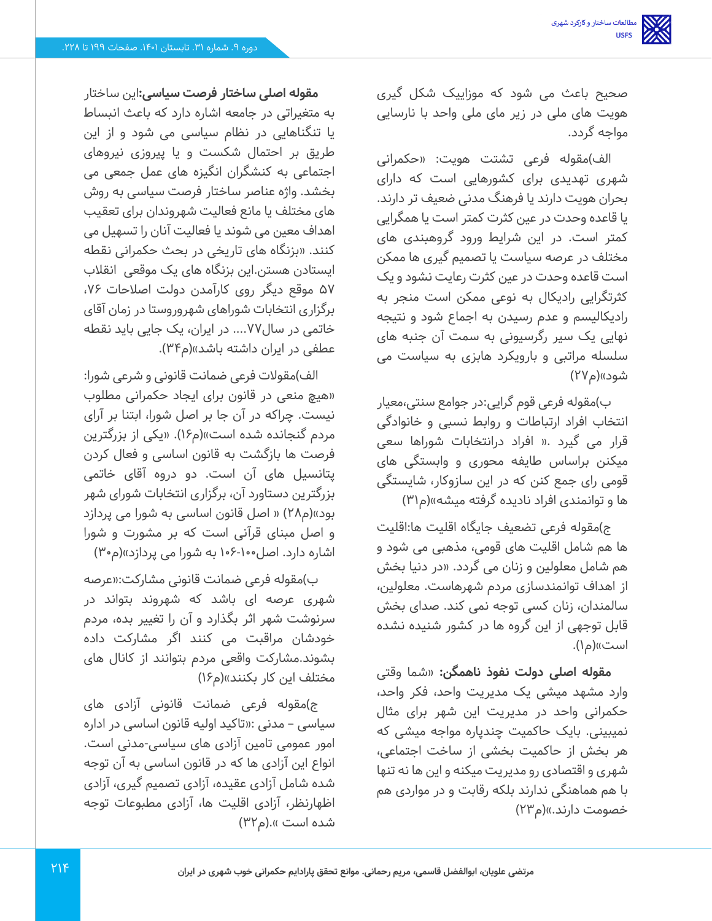صحیح باعث می شود که موزاییک شکل گیری هویت های ملی در زیر مای ملی واحد با نارسایی مواجه گردد.

الف)مقوله فرعی تشتت هویت: «حکمرانی شهری تهدیدی برای کشورهایی است که دارای بحران هویت دارند یا فرهنگ مدنی ضعیف تر دارند. یا قاعده وحدت در عین کثرت کمتر است یا همگرایی کمتر است. در این شرایط ورود گروهبندی های مختلف در عرصه سیاست یا تصمیم گیری ها ممکن است قاعده وحدت در عین کثرت رعایت نشود و یک کثرتگرایی رادیکال به نوعی ممکن است منجر به رادیکالیسم و عدم رسیدن به اجماع شود و نتیجه نهایی یک سیر رگرسیونی به سمت آن جنبه های سلسله مراتبی و بارویکرد هابزی به سیاست می شود»(م۲۷)

ب(مقوله فرعی قوم گرایی:در جوامع سنتی،معیار انتخاب افراد ارتباطات و روابط نسبی و خانوادگی قرار می گیرد .» افراد درانتخابات شوراها سعی میکنن براساس طایفه محوری و وابستگی های قومی رای جمع کنن که در این سازوکار، شایستگی ها و توانمندی افراد نادیده گرفته میشه»(م۳۱)

ج(مقوله فرعی تضعیف جایگاه اقلیت ها:اقلیت ها هم شامل اقلیت های قومی، مذهبی می شود و هم شامل معلولین و زنان می گردد. »در دنیا بخش از اهداف توانمندسازی مردم شهرهاست. معلولین، سالمندان، زنان کسی توجه نمی کند. صدای بخش قابل توجهی از این گروه ها در کشور شنیده نشده است»(م۱).

**مقوله اصلی دولت نفوذ ناهمگن:** »شما وقتی وارد مشهد میشی یک مدیریت واحد، فکر واحد، حکمرانی واحد در مدیریت این شهر برای مثال نمیبینی. بایک حاکمیت چندپاره مواجه میشی که هر بخش از حاکمیت بخشی از ساخت اجتماعی، شهری و اقتصادی رو مدیریت میکنه و این ها نه تنها با هم هماهنگی ندارند بلکه رقابت و در مواردی هم خصومت دارند.»(م۲۳)

**مقوله اصلی ساختار فرصت سیاسی:**این ساختار به متغیراتی در جامعه اشاره دارد که باعث انبساط یا تنگناهایی در نظام سیاسی می شود و از این طریق بر احتمال شکست و یا پیروزی نیروهای اجتماعی به کنشگران انگیزه های عمل جمعی می بخشد. واژه عناصر ساختار فرصت سیاسی به روش های مختلف یا مانع فعالیت شهروندان برای تعقیب اهداف معین می شوند یا فعالیت آنان را تسهیل می کنند. »بزنگاه های تاریخی در بحث حکمرانی نقطه ایستادن هستن.این بزنگاه های یک موقعی انقالب 57 موقع دیگر روی کارآمدن دولت اصالحات ،76 برگزاری انتخابات شوراهای شهروروستا در زمان آقای خاتمی در سال ....77 در ایران، یک جایی باید نقطه عطفی در ایران داشته باشد»(م۳۴).

الف)مقولات فرعی ضمانت قانونی و شرعی شورا: »هیچ منعی در قانون برای ایجاد حکمرانی مطلوب نیست. چراکه در آن جا بر اصل شورا، ابتنا بر آرای مردم گنجانده شده است»(م۱۶). «یکی از بزرگترین فرصت ها بازگشت به قانون اساسی و فعال کردن پتانسیل های آن است. دو دروه آقای خاتمی بزرگترین دستاورد آن، برگزاری انتخابات شورای شهر بود»(م۲۸) « اصل قانون اساسی به شورا می پردازد و اصل مبنای قرآنی است که بر مشورت و شورا اشاره دارد. اصل۱۰۶-۱۰۶ به شورا می پردازد»(م۳۰)

ب(مقوله فرعی ضمانت قانونی مشارکت:»عرصه شهری عرصه ای باشد که شهروند بتواند در سرنوشت شهر اثر بگذارد و آن را تغییر بده، مردم خودشان مراقبت می کنند اگر مشارکت داده بشوند.مشارکت واقعی مردم بتوانند از کانال های مختلف این کار بکنند«)م16(

ج(مقوله فرعی ضمانت قانونی آزادی های سیاسی – مدنی :»تاکید اولیه قانون اساسی در اداره امور عمومی تامین آزادی های سیاسی-مدنی است. انواع این آزادی ها که در قانون اساسی به آن توجه شده شامل آزادی عقیده، آزادی تصمیم گیری، آزادی اظهارنظر، آزادی اقلیت ها، آزادی مطبوعات توجه شده است ».(م۳۲)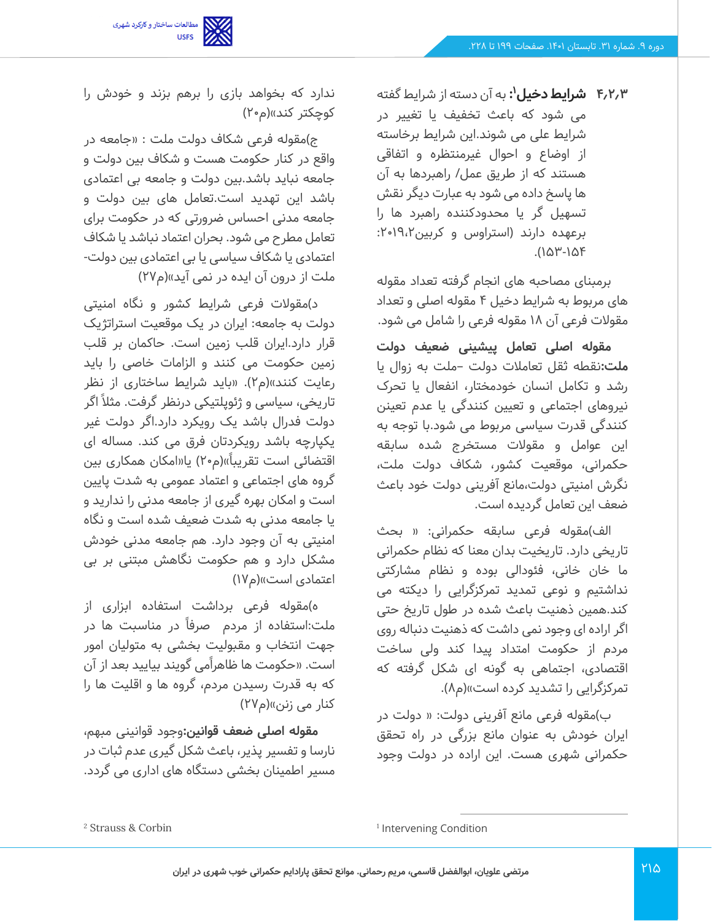مطالعات ساختار و کارکرد شهری<br>USFS

**1 4.2.3 شرایط دخیل :** به آن دسته از شرایط گفته می شود که باعث تخفیف یا تغییر در شرایط علی می شوند.این شرایط برخاسته از اوضاع و احوال غیرمنتظره و اتفاقی هستند که از طریق عمل/ راهبردها به آن ها پاسخ داده می شود به عبارت دیگر نقش تسهیل گر یا محدودکننده راهبرد ها را برعهده دارند )استراوس و کربین :2019،2 .)153-154

برمبنای مصاحبه های انجام گرفته تعداد مقوله های مربوط به شرایط دخیل 4 مقوله اصلی و تعداد مقوالت فرعی آن 18 مقوله فرعی را شامل می شود.

**مقوله اصلی تعامل پیشینی ضعیف دولت ملت:**نقطه ثقل تعامالت دولت –ملت به زوال یا رشد و تکامل انسان خودمختار، انفعال یا تحرک نیروهای اجتماعی و تعیین کنندگی یا عدم تعینن کنندگی قدرت سیاسی مربوط می شود.با توجه به این عوامل و مقوالت مستخرج شده سابقه حکمرانی، موقعیت کشور، شکاف دولت ملت، نگرش امنیتی دولت،مانع آفرینی دولت خود باعث ضعف این تعامل گردیده است.

الف)مقوله فرعی سابقه حکمرانی: « بحث تاریخی دارد. تاریخیت بدان معنا که نظام حکمرانی ما خان خانی، فئودالی بوده و نظام مشارکتی نداشتیم و نوعی تمدید تمرکزگرایی را دیکته می کند.همین ذهنیت باعث شده در طول تاریخ حتی اگر اراده ای وجود نمی داشت که ذهنیت دنباله روی مردم از حکومت امتداد پیدا کند ولی ساخت اقتصادی، اجتماهی به گونه ای شکل گرفته که تمرکزگرایی را تشدید کرده است»(م۸).

ب(مقوله فرعی مانع آفرینی دولت: » دولت در ایران خودش به عنوان مانع بزرگی در راه تحقق حکمرانی شهری هست. این اراده در دولت وجود

ندارد که بخواهد بازی را برهم بزند و خودش را کوچکتر کند»(م۲۰)

ج)مقوله فرعی شکاف دولت ملت : «جامعه در واقع در کنار حکومت هست و شکاف بین دولت و جامعه نباید باشد.بین دولت و جامعه بی اعتمادی باشد این تهدید است.تعامل های بین دولت و جامعه مدنی احساس ضرورتی که در حکومت برای تعامل مطرح می شود. بحران اعتماد نباشد یا شکاف اعتمادی یا شکاف سیاسی یا بی اعتمادی بین دولت - ملت از درون آن ایده در نمی آید»(م۲۷)

د)مقولات فرعی شرایط کشور و نگاه امنیتی دولت به جامعه: ایران در یک موقعیت استراتژیک قرار دارد.ایران قلب زمین است. حاکمان بر قلب زمین حکومت می کنند و الزامات خاصی را باید رعایت کنند«)م2(. »باید شرایط ساختاری از نظر تاریخی، سیاسی و ژئوپلتیکی درنظر گرفت. مثلاً اگر دولت فدرال باشد یک رویکرد دارد.اگر دولت غیر یکپارچه باشد رویکردتان فرق می کند. مساله ای اقتضائی است تقریباً»(م۲۰) یا«امکان همکاری بین گروه های اجتماعی و اعتماد عمومی به شدت پایین است و امکان بهره گیری از جامعه مدنی را ندارید و یا جامعه مدنی به شدت ضعیف شده است و نگاه امنیتی به آن وجود دارد. هم جامعه مدنی خودش مشکل دارد و هم حکومت نگاهش مبتنی بر بی اعتمادی است»(م۱۷)

ه(مقوله فرعی برداشت استفاده ابزاری از ملت:استفاده از مردم صرفا ً در مناسبت ها در جهت انتخاب و مقبولیت بخشی به متولیان امور است. «حکومت ها ظاهراًمی گویند بیایید بعد از آن که به قدرت رسیدن مردم، گروه ها و اقلیت ها را کنار می زنن»(م۲۷)

**مقوله اصلی ضعف قوانین:**وجود قوانینی مبهم، نارسا و تفسیر پذیر، باعث شکل گیری عدم ثبات در مسیر اطمینان بخشی دستگاه های اداری می گردد.

<sup>1</sup> Intervening Condition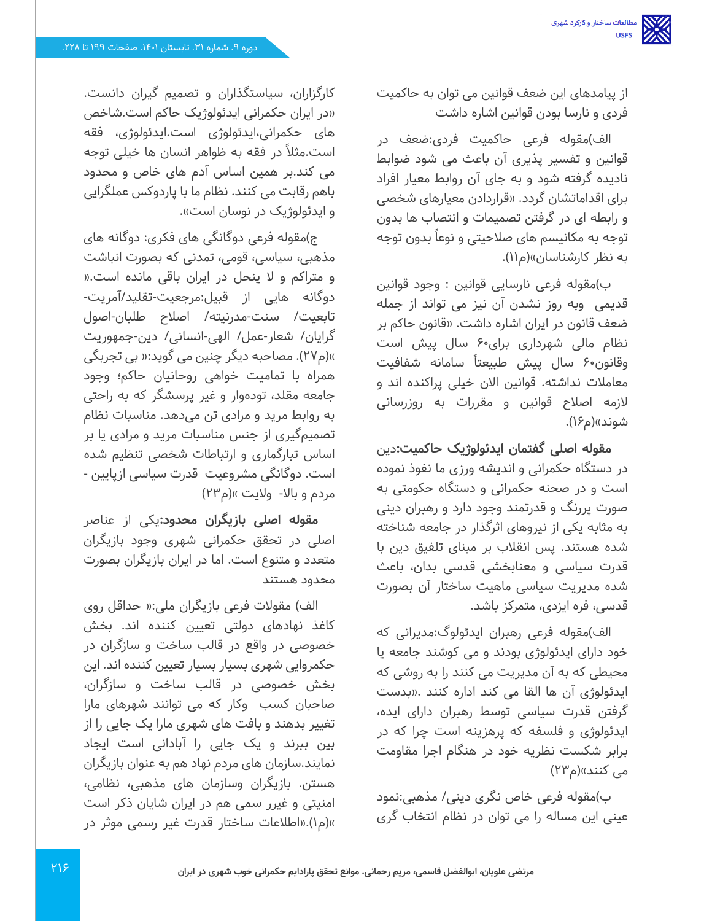از پیامدهای این ضعف قوانین می توان به حاکمیت فردی و نارسا بودن قوانین اشاره داشت

الف)مقوله فرعی حاکمیت فردی:ضعف در قوانین و تفسیر پذیری آن باعث می شود ضوابط نادیده گرفته شود و به جای آن روابط معیار افراد برای اقداماتشان گردد. »قرارد ادن معیارهای شخصی و رابطه ای در گرفتن تصمیمات و انتصاب ها بدون توجه به مکانیسم های صلاحیتی و نوعاً بدون توجه به نظر کارشناسان»(م۱۱).

ب(مقوله فرعی نارسایی قوانین : وجود قوانین قدیمی وبه روز نشدن آن نیز می تواند از جمله ضعف قانون در ایران اشاره داشت. »قانون حاکم بر نظام مالی شهرداری برای 60 سال پیش است وقانون60 سال پیش طبیعتا ً سامانه شفافیت معامالت نداشته. قوانین االن خیلی پراکنده اند و الزمه اصالح قوانین و مقررات به روزرسانی شوند»(م۱۶).

**مقوله اصلی گفتمان ایدئولوژیک حاکمیت:**دین در دستگاه حکمرانی و اندیشه ورزی ما نفوذ نموده است و در صحنه حکمرانی و دستگاه حکومتی به صورت پررنگ و قدرتمند وجود دارد و رهبران دینی به مثابه یکی از نیروهای اثرگذار در جامعه شناخته شده هستند. پس انقالب بر مبنای تلفیق دین با قدرت سیاسی و معنابخشی قدسی بدان، باعث شده مدیریت سیاسی ماهیت ساختار آن بصورت قدسی، فره ایزدی، متمرکز باشد.

الف)مقوله فرعی رهبران ایدئولوگ:مدیرانی که خود دارای ایدئولوژی بودند و می کوشند جامعه یا محیطی که به آن مدیریت می کنند را به روشی که ایدئولوژی آن ها القا می کند اداره کنند .»بدست گرفتن قدرت سیاسی توسط رهبران دارای ایده، ایدئولوژی و فلسفه که پرهزینه است چرا که در برابر شکست نظریه خود در هنگام اجرا مقاومت می کنند»(م۲۳)

ب(مقوله فرعی خاص نگری دینی/ مذهبی:نمود عینی این مساله را می توان در نظام انتخاب گری

کارگزاران، سیاستگذاران و تصمیم گیران دانست. »در ایران حکمرانی ایدئولوژیک حاکم است.شاخص های حکمرانی،ایدئولوژی است.ایدئولوژی، فقه است.مثال ً در فقه به ظواهر انسان ها خیلی توجه می کند.بر همین اساس آدم های خاص و محدود باهم رقابت می کنند. نظام ما با پاردوکس عملگرایی و ایدئولوژیک در نوسان است«.

ج(مقوله فرعی دوگانگی های فکری: دوگانه های مذهبی، سیاسی، قومی، تمدنی که بصورت انباشت و متراکم و ال ینحل در ایران باقی مانده است.» دوگانه هایی از قبیل:مرجعیت-تقلید/آمریت - تابعیت/ سنت-مدرنیته/ اصالح طلبان -اصول گر ایان/ شعار -عمل/ الهی -انسانی/ دین-جمهوریت «)م27(. مصاحبه دیگر چنین می گوید:» بی تجربگی همراه با تمامیت خواهی روحانیان حاکم؛ وجود جامعه مقلد، تودهوار و غیر پرسشگر که به راحتی به روابط مرید و مرادی تن می دهد. مناسبات نظام تصمیمگیری از جنس مناسبات مرید و مرادی یا بر اساس تبارگماری و ارتباطات شخصی تنظیم شده است. دوگانگی مشروعیت قدرت سیاسی ازپایین - مردم و بالا- ولايت »(م۲۳)

**مقوله اصلی بازیگران محدود:**یکی از عناصر اصلی در تحقق حکمرانی شهری وجود بازیگران متعدد و متنوع است. اما در ایران بازیگران بصورت محدود هستند

الف( مقوالت فرعی بازیگران ملی:» حداقل روی کاغذ نهادهای دولتی تعیین کننده اند. بخش خصوصی در واقع در قالب ساخت و سازگران در حکمروایی شهری بسیار بسیار تعیین کننده اند. این بخش خصوصی در قالب ساخت و سازگران، صاحبان کسب وکار که می توانند شهرهای مارا تغییر بدهند و بافت های شهری مارا یک جایی را از بین ببرند و یک جایی را آبادانی است ایجاد نمایند.سازمان های مردم نهاد هم به عنوان بازیگران هستن. بازیگران وسازمان های مذهبی، نظامی، امنیتی و غیرر سمی هم در ایران شایان ذکر است «)م1(.»اطالعات ساختار قدرت غیر رسمی موثر در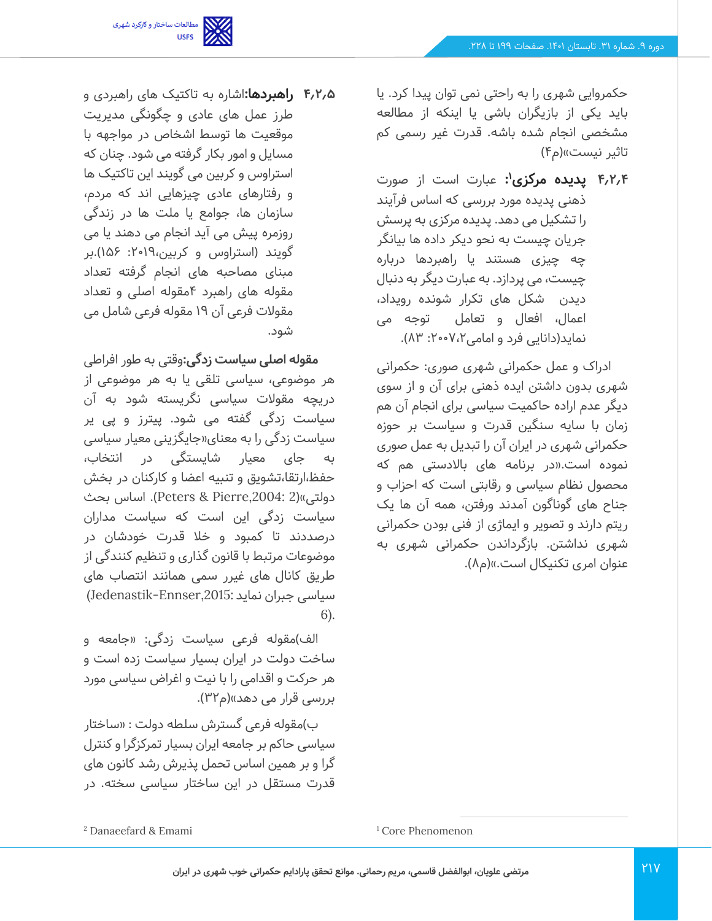

حکمروایی شهری را به راحتی نمی توان پیدا کرد. یا باید یکی از بازیگران باشی یا اینکه از مطالعه مشخصی انجام شده باشه. قدرت غیر رسمی کم تاثیر نیست«)م4(

**1 4.2.4 پدیده مرکزی :** عبارت است از صورت ذهنی پدیده مورد بررسی که اساس فرآیند را تشکیل می دهد. پدیده مرکزی به پرسش جریان چیست به نحو دیکر داده ها بیانگر چه چیزی هستند یا راهبردها درباره چیست، می پردازد. به عبارت دیگر به دنبال دیدن شکل های تکرار شونده رویداد، اعمال، افعال و تعامل توجه می نماید(دانایی فرد و امامی۲،۷۰۰،۳ ۸۳).

ادراک و عمل حکمرانی شهری صوری: حکمرانی شهری بدون داشتن ایده ذهنی برای آن و از سوی دیگر عدم اراده حاکمیت سیاسی برای انجام آن هم زمان با سایه سنگین قدرت و سیاست بر حوزه حکمرانی شهری در ایران آن را تبدیل به عمل صوری نموده است.»در برنامه های باالدستی هم که محصول نظام سیاسی و رقابتی است که احزاب و جناح های گوناگون آمدند ورفتن، همه آن ها یک ریتم دارند و تصویر و ایماژی از فنی بودن حکمرانی شهری نداشتن. بازگرداندن حکمرانی شهری به عنوان امری تکنیکال است.«)م8(.

**4.2.5 راهبردها:**اشاره به تاکتیک های راهبردی و طرز عمل های عادی و چگونگی مدیریت موقعیت ها توسط اشخاص در مواجهه با مسایل و امور بکار گرفته می شود. چنان که استراوس و کربین می گویند این تاکتیک ها و رفتارهای عادی چیزهایی اند که مردم، سازمان ها، جوامع یا ملت ها در زندگی روزمره پیش می آید انجام می دهند یا می گویند (استراوس و کربین، ۲۰۱۹: ۱۵۶).بر مبنای مصاحبه های انجام گرفته تعداد مقوله های راهبرد 4مقوله اصلی و تعداد مقوالت فرعی آن 19 مقوله فرعی شامل می شود.

**مقوله اصلی سیاست زدگی:**وقتی به طور افراطی هر موضوعی، سیاسی تلقی یا به هر موضوعی از دریچه مقوالت سیاسی نگریسته شود به آن سیاست زدگی گفته می شود. پیترز و پی یر سیاست زدگی را به معنای»جایگزینی معیار سیاسی به جای معیار شایستگی در انتخاب، حفظ،ارتقا،تشویق و تنبیه اعضا و کارکنان در بخش دولتی«)2 ,2004:Pierre & Peters). اساس بحث سیاست زدگی این است که سیاست مداران درصددند تا کمبود و خال قدرت خودشان در موضوعات مرتبط با قانون گذاری و تنظیم کنندگی از طریق کانال های غیرر سمی همانند انتصاب های سیاسی جبران نماید ;Jedenastik-Ennser,2015 6).

الف)مقوله فرعی سیاست زدگی: «جامعه و ساخت دولت در ایران بسیار سیاست زده است و هر حرکت و اقدامی را با نیت و اغراض سیاسی مورد بررسی قرار می دهد»(م۳۲).

ب)مقوله فرعی گسترش سلطه دولت : «ساختار سیاسی حاکم بر جامعه ایران بسیار تمرکزگرا و کنترل گرا و بر همین اساس تحمل پذیرش رشد کانون های قدرت مستقل در این ساختار سیاسی سخته. در

<sup>1</sup> Core Phenomenon

<sup>2</sup> Danaeefard & Emami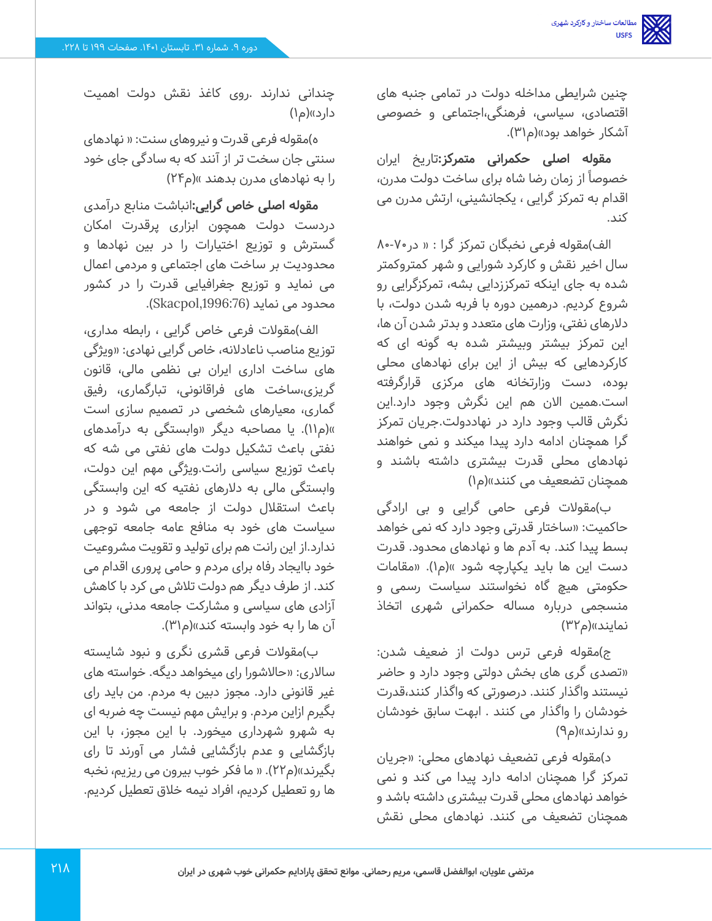چنین شرایطی مداخله دولت در تمامی جنبه های اقتصادی، سیاسی، فرهنگی،اجتماعی و خصوصی آشکار خواهد بود»(م۳۱).

**مقوله اصلی حکمرانی متمرکز:**تاریخ ایران خصوصاً از زمان رضا شاه برای ساخت دولت مدرن، اقدام به تمرکز گرایی ، یکجانشینی، ارتش مدرن می کند.

الف)مقوله فرعی نخبگان تمرکز گرا : « در ۷۰-۸۰ سال اخیر نقش و کارکرد شورایی و شهر کمتروکمتر شده به جای اینکه تمرکززدایی بشه، تمرکزگرایی رو شروع کردیم. درهمین دوره با فربه شدن دولت، با دالرهای نفتی، وزارت های متعدد و بدتر شدن آن ها، این تمرکز بیشتر وبیشتر شده به گونه ای که کارکردهایی که بیش از این برای نهادهای محلی بوده، دست وزارتخانه های مرکزی قرارگرفته است.همین االن هم این نگرش وجود دارد.این نگرش قالب وجود دارد در نهاددولت.جریان تمرکز گرا همچنان ادامه دارد پیدا میکند و نمی خواهند نهادهای محلی قدرت بیشتری داشته باشند و همچنان تضععیف می کنند«)م1(

ب(مقوالت فرعی حامی گرایی و بی ارادگی حاکمیت: »ساختار قدرتی وجود دارد که نمی خواهد بسط پیدا کند. به آدم ها و نهادهای محدود. قدرت دست این ها باید یکپارچه شود »(م۱). «مقامات حکومتی هیچ گاه نخواستند سیاست رسمی و منسجمی درباره مساله حکمرانی شهری اتخاذ نمایند»(م۳۲)

ج)مقوله فرعی ترس دولت از ضعیف شدن: »تصدی گری های بخش دولتی وجود دارد و حاضر نیستند واگذار کنند. درصورتی که واگذار کنند،قدرت خودشان را واگذار می کنند . ابهت سابق خودشان رو ندارند»(م۹)

د)مقوله فرعی تضعیف نهادهای محلی: «جریان تمرکز گرا همچنان ادامه دارد پیدا می کند و نمی خواهد نهادهای محلی قدرت بیشتری داشته باشد و همچنان تضعیف می کنند. نهادهای محلی نقش

چندانی ندارند .روی کاغذ نقش دولت اهمیت دارد»(م۱)

ه)مقوله فرعی قدرت و نیروهای سنت: « نهادهای سنتی جان سخت تر از آنند که به سادگی جای خود را به نهادهای مدرن بدهند »(م۲۴)

**مقوله اصلی خاص گرایی:**انباشت منابع درآمدی دردست دولت همچون ابزاری پرقدرت امکان گسترش و توزیع اختیارات را در بین نهادها و محدودیت بر ساخت های اجتماعی و مردمی اعمال می نماید و توزیع جغرافیایی قدرت را در کشور محدود می نماید (Skacpol,1996:76).

الف)مقولات فرعی خاص گرایی ، رابطه مداری، توزیع مناصب ناعادالنه، خاص گرایی نهادی: »ویژگی های ساخت اداری ایران بی نظمی مالی، قانون گریزی،ساخت های فراقانونی، تبارگماری، رفیق گماری، معیارهای شخصی در تصمیم سازی است «)م11(. یا مصاحبه دیگر »وابستگی به درآمدهای نفتی باعث تشکیل دولت های نفتی می شه که باعث توزیع سیاسی رانت.ویژگی مهم این دولت، وابستگی مالی به دالرهای نفتیه که این وابستگی باعث استقالل دولت از جامعه می شود و در سیاست های خود به منافع عامه جامعه توجهی ندارد.از این رانت هم برای تولید و تقویت مشروعیت خود باایجاد رفاه برای مردم و حامی پروری اقدام می کند. از طرف دیگر هم دولت تالش می کرد با کاهش آزادی های سیاسی و مشارکت جامعه مدنی، بتواند آن ها را به خود وابسته کند»(م۳۱).

ب)مقولات فرعی قشری نگری و نبود شایسته سالاری: «حالاشورا رای میخواهد دیگه. خواسته های غیر قانونی دارد. مجوز دبین به مردم. من باید رای بگیرم ازاین مردم. و برایش مهم نیست چه ضربه ای به شهرو شهرداری میخورد. با این مجوز، با این بازگشایی و عدم بازگشایی فشار می آورند تا رای بگیرند»(م۲۲). « ما فکر خوب بیرون می ریزیم، نخبه ها رو تعطیل کردیم، افراد نیمه خالق تعطیل کردیم.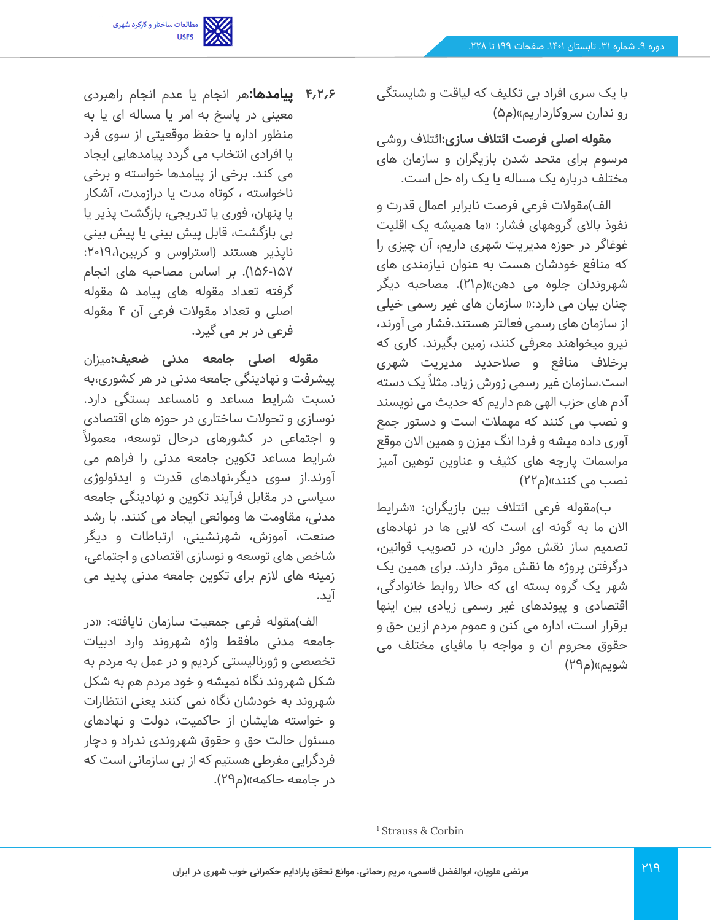

با یک سری افراد بی تکلیف که لیاقت و شایستگی رو ندارن سروکارداریم«)م5(

**مقوله اصلی فرصت ائتالف سازی:**ائتالف روشی مرسوم برای متحد شدن بازیگران و سازمان های مختلف درباره یک مساله یا یک راه حل است.

الف)مقولات فرعی فرصت نابرابر اعمال قدرت و نفوذ باالی گروههای فشار: »ما همیشه یک اقلیت غوغاگر در حوزه مدیریت شهری داریم، آن چیزی را که منافع خودشان هست به عنوان نیازمندی های شهروندان جلوه می دهن»(م۲۱). مصاحبه دیگر چنان بیان می دارد:» سازمان های غیر رسمی خیلی از سازمان های رسمی فعالتر هستند.فشار می آورند، نیرو میخواهند معرفی کنند، زمین بگیرند. کاری که برخالف منافع و صالحدید مدیریت شهری است.سازمان غیر رسمی زورش زیاد. مثال ًیک دسته آدم های حزب الهی هم داریم که حدیث می نویسند و نصب می کنند که مهمالت است و دستور جمع آوری داده میشه و فردا انگ میزن و همین االن موقع مراسمات پارچه های کثیف و عناوین توهین آمیز نصب می کنند«)م22(

ب)مقوله فرعی ائتلاف بین بازیگران: «شرایط االن ما به گونه ای است که البی ها در نهادهای تصمیم ساز نقش موثر دارن، در تصویب قوانین، درگرفتن پروژه ها نقش موثر دارند. برای همین یک شهر یک گروه بسته ای که حاال روابط خانوادگی، اقتصادی و پیوندهای غیر رسمی زیادی بین اینها برقرار است، اداره می کنن و عموم مردم ازین حق و حقوق محروم ان و مواجه با مافیای مختلف می شویم»(م۲۹)

**4.2.6 پیامدها:**هر انجام یا عدم انجام راهبردی معینی در پاسخ به امر یا مساله ای یا به منظور اداره یا حفظ موقعیتی از سوی فرد یا افرادی انتخاب می گردد پیامدهایی ایجاد می کند. برخی از پیامدها خواسته و برخی ناخواسته ، کوتاه مدت یا درازمدت، آشکار یا پنهان، فوری یا تدریجی، بازگشت پذیر یا بی بازگشت، قابل پیش بینی یا پیش بینی ناپذیر هستند (استراوس و کربین ۱۹،۱۹۰: 156-157(. بر اساس مصاحبه های انجام گرفته تعداد مقوله های پیامد 5 مقوله اصلی و تعداد مقوالت فرعی آن 4 مقوله فرعی در بر می گیرد.

**مقوله اصلی جامعه مدنی ضعیف:**میزان پیشرفت و نهادینگی جامعه مدنی در هر کشوری،به نسبت شرایط مساعد و نامساعد بستگی دارد. نوسازی و تحوالت ساختاری در حوزه های اقتصادی و اجتماعی در کشورهای درحال توسعه، معموال ً شرایط مساعد تکوین جامعه مدنی را فراهم می آورند.از سوی دیگر،نهادهای قدرت و ایدئولوژی سیاسی در مقابل فرآیند تکوین و نهادینگی جامعه مدنی، مقاومت ها وموانعی ایجاد می کنند. با رشد صنعت، آموزش، شهرنشینی، ارتباطات و دیگر شاخص های توسعه و نوسازی اقتصادی و اجتماعی، زمینه های الزم برای تکوین جامعه مدنی پدید می آید.

الف)مقوله فرعی جمعیت سازمان نایافته: «در جامعه مدنی مافقط واژه شهروند وارد ادبیات تخصصی و ژ ورنالیستی کردیم و در عمل به مردم به شکل شهروند نگاه نمیشه و خود مردم هم به شکل شهروند به خودشان نگاه نمی کنند یعنی انتظارات و خواسته هایشان از حاکمیت، دولت و نهادهای مسئول حالت حق و حقوق شهروندی ندراد و دچار فردگرایی مفرطی هستیم که از بی سازمانی است که در جامعه حاکمه»(م۲۹).

<sup>1</sup> Strauss & Corbin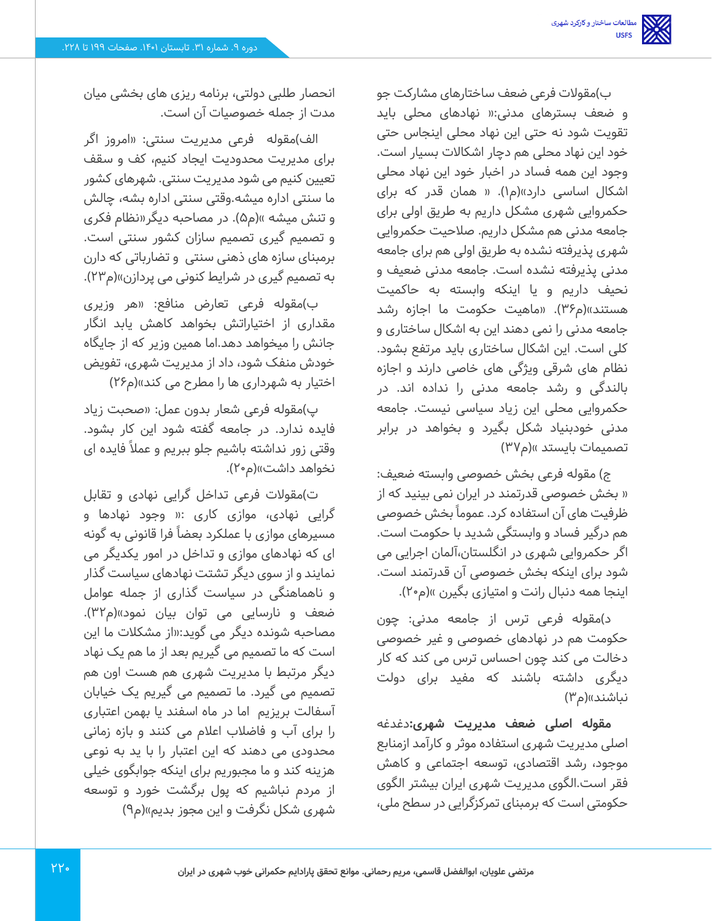ب)مقولات فرعی ضعف ساختارهای مشارکت جو و ضعف بسترهای مدنی:» نهادهای محلی باید تقویت شود نه حتی این نهاد محلی اینجاس حتی خود این نهاد محلی هم دچار اشکاالت بسیار است. وجود این همه فساد در اخبار خود این نهاد محلی اشکال اساسی دارد»(م۱). « همان قدر که برای حکمروایی شهری مشکل داریم به طریق اولی برای جامعه مدنی هم مشکل داریم. صالحیت حکمروایی شهری پذیرفته نشده به طریق اولی هم برای جامعه مدنی پذیرفته نشده است. جامعه مدنی ضعیف و نحیف داریم و یا اینکه وابسته به حاکمیت هستند»(م۳۶). «ماهیت حکومت ما اجازه رشد جامعه مدنی را نمی دهند این به اشکال ساختاری و کلی است. این اشکال ساختاری باید مرتفع بشود. نظام های شرقی ویژگی های خاصی دارند و اجازه بالندگی و رشد جامعه مدنی را نداده اند. در حکمروایی محلی این زیاد سیاسی نیست. جامعه مدنی خودبنیاد شکل بگیرد و بخواهد در برابر تصمیمات بایستد »(م۳۷)

ج) مقوله فرعی بخش خصوصی وابسته ضعیف: » بخش خصوصی قدرتمند در ایران نمی بینید که از ظرفیت های آن استفاده کرد. عموماً بخش خصوصی هم درگیر فساد و وابستگی شدید با حکومت است. اگر حکمروایی شهری در انگلستان،آلمان اجرایی می شود برای اینکه بخش خصوصی آن قدرتمند است. اینجا همه دنبال رانت و امتیازی بگیرن »(م۲۰).

د(مقوله فرعی ترس از جامعه مدنی: چون حکومت هم در نهادهای خصوصی و غیر خصوصی دخالت می کند چون احساس ترس می کند که کار دیگری داشته باشند که مفید برای دولت نباشند»(م۳)

**مقوله اصلی ضعف مدیریت شهری:**دغدغه اصلی مدیریت شهری استفاده موثر و کارآمد ازمنابع موجود، رشد اقتصادی، توسعه اجتماعی و کاهش فقر است.الگوی مدیریت شهری ایران بیشتر الگوی حکومتی است که برمبنای تمرکزگرایی در سطح ملی،

انحصار طلبی دولتی، برنامه ریزی های بخشی میان مدت از جمله خصوصیات آن است.

الف)مقوله فرعی مدیریت سنتی: «امروز اگر برای مدیریت محدودیت ایجاد کنیم، کف و سقف تعیین کنیم می شود مدیریت سنتی. شهرهای کشور ما سنتی اداره میشه.وقتی سنتی اداره بشه، چالش و تنش میشه »(م۵). در مصاحبه دیگر«نظام فکری و تصمیم گیری تصمیم سازان کشور سنتی است. برمبنای سازه های ذهنی سنتی و تضارباتی که دارن به تصمیم گیری در شرایط کنونی می پردازن»(م۲۳).

ب)مقوله فرعی تعارض منافع: «هر وزیری مقداری از اختیاراتش بخواهد کاهش یابد انگار جانش را میخواهد دهد.اما همین وزیر که از جایگاه خودش منفک شود، داد از مدیریت شهری، تفویض اختیار به شهرداری ها را مطرح می کند»(م۲۶)

پ(مقوله فرعی شعار بدون عمل: »صحبت زیاد فایده ندارد. در جامعه گفته شود این کار بشود. وقتی زور نداشته باشیم جلو ببریم و عمال ًفایده ای نخواهد داشت»(م۲۰).

ت)مقولات فرعی تداخل گرایی نهادی و تقابل گرایی نهادی، موازی کاری :» وجود نهادها و مسیرهای موازی با عملکرد بعضا ًفرا قانونی به گونه ای که نهادهای موازی و تداخل در امور یکدیگر می نمایند و از سوی دیگر تشتت نهادهای سیاست گذار و ناهماهنگی در سیاست گذاری از جمله عوامل ضعف و نارسایی می توان بیان نمود«)م 32(. مصاحبه شونده دیگر می گوید:»از مشکالت ما این است که ما تصمیم می گیریم بعد از ما هم یک نهاد دیگر مرتبط با مدیریت شهری هم هست اون هم تصمیم می گیرد. ما تصمیم می گیریم یک خیابان آسفالت بریزیم اما در ماه اسفند یا بهمن اعتباری را برای آب و فاضالب اعالم می کنند و بازه زمانی محدودی می دهند که این اعتبار را با ید به نوعی هزینه کند و ما مجبوریم برای اینکه جوابگوی خیلی از مردم نباشیم که پول برگشت خورد و توسعه شهری شکل نگرفت و این مجوز بدیم«)م9(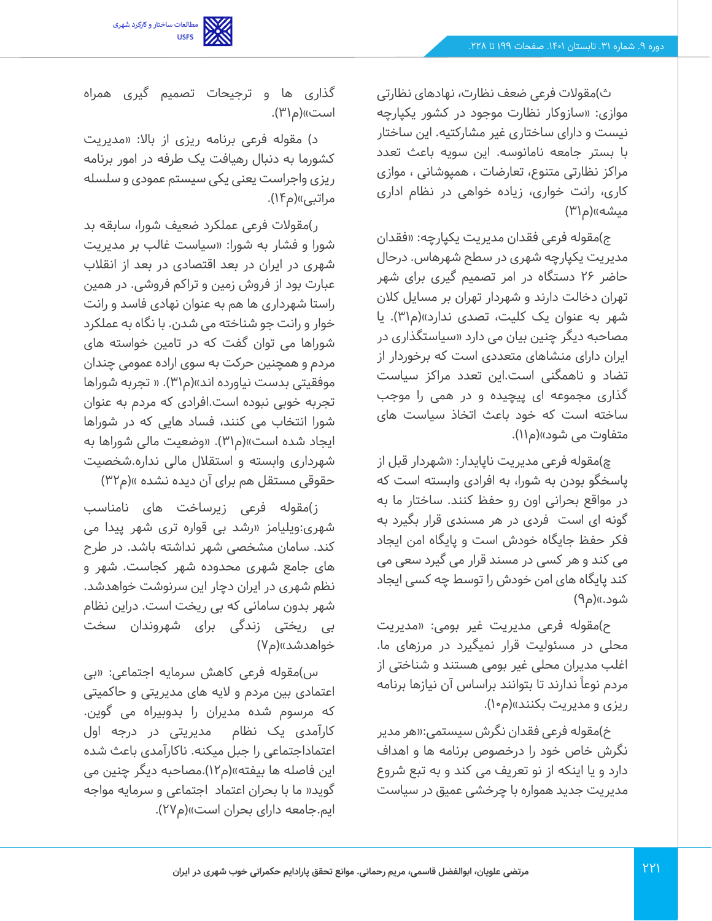

ث)مقولات فرعی ضعف نظارت، نهادهای نظارتی موازی: »سازوکار نظارت موجود در کشور یکپارچه نیست و دارای ساختاری غیر مشارکتیه. این ساختار با بستر جامعه نامانوسه. این سویه باعث تعدد مراکز نظارتی متنوع، تعارضات ، همپوشانی ، موازی کاری، رانت خواری، زیاده خواهی در نظام اداری میشه»(م۳۱)

ج(مقوله فرعی فقدان مدیریت یکپارچه: »فقدان مدیریت یکپارچه شهری در سطح شهرهاس. درحال حاضر 26 دستگاه در امر تصمیم گیری برای شهر تهران دخالت دارند و شهردار تهران بر مسایل کالن شهر به عنوان یک کلیت، تصدی ندارد«)م31(. یا مصاحبه دیگر چنین بیان می دارد »سیاستگذاری در ایران دارای منشاهای متعددی است که برخوردار از تضاد و ناهمگنی است.این تعدد مراکز سیاست گذاری مجموعه ای پیچیده و در همی را موجب ساخته است که خود باعث اتخاذ سیاست های متفاوت می شود»(م۱۱).

چ)مقوله فرعی مدیریت ناپایدار: «شهردار قبل از پاسخگو بودن به شورا، به افرادی وابسته است که در مواقع بحرانی اون رو حفظ کنند. ساختار ما به گونه ای است فردی در هر مسندی قرار بگیرد به فکر حفظ جایگاه خودش است و پایگاه امن ایجاد می کند و هر کسی در مسند قرار می گیرد سعی می کند پایگاه های امن خودش را توسط چه کسی ایجاد شود.»(م۹)

ح)مقوله فرعی مدیریت غیر بومی: «مدیریت محلی در مسئولیت قرار نمیگیرد در مرزهای ما. اغلب مدیران محلی غیر بومی هستند و شناختی از مردم نوعاً ندارند تا بتوانند براساس آن نیازها برنامه ریزی و مدیریت بکنند«)م10(.

خ)مقوله فرعی فقدان نگرش سیستمی:«هر مدیر نگرش خاص خود را درخصوص برنامه ها و اهداف دارد و یا اینکه از نو تعریف می کند و به تبع شروع مدیریت جدید همواره با چرخشی عمیق در سیاست

گذاری ها و ترجیحات تصمیم گیری همراه است»(م۳۱).

د) مقوله فرعی برنامه ریزی از بالا: «مدیریت کشورما به دنبال رهیافت یک طرفه در امور برنامه ریزی واجراست یعنی یکی سیستم عمودی و سلسله مراتبی»(م۱۴).

ر)مقولات فرعی عملکرد ضعیف شورا، سابقه بد شورا و فشار به شورا: »سیاست غالب بر مدیریت شهری در ایران در بعد اقتصادی در بعد از انقالب عبارت بود از فروش زمین و تراکم فروشی. در همین راستا شهرداری ها هم به عنوان نهادی فاسد و رانت خوار و رانت جو شناخته می شدن. با نگاه به عملکرد شوراها می توان گفت که در تامین خواسته های مردم و همچنین حرکت به سوی اراده عمومی چندان موفقیتی بدست نیاورده اند»(م۳۱). « تجربه شوراها تجربه خوبی نبوده است.افرادی که مردم به عنوان شورا انتخاب می کنند، فساد هایی که در شوراها ایجاد شده است»(م۳۱). «وضعیت مالی شوراها به شهرداری وابسته و استقالل مالی نداره.شخصیت حقوقی مستقل هم برای آن دیده نشده »(م۳۲)

ز(مقوله فرعی زیرساخت های نامناسب شهری:ویلیامز »رشد بی قواره تری شهر پیدا می کند. سامان مشخصی شهر نداشته باشد. در طرح های جامع شهری محدوده شهر کجاست. شهر و نظم شهری در ایران دچار این سرنوشت خواهدشد. شهر بدون سامانی که بی ریخت است. دراین نظام بی ریختی زندگی برای شهروندان سخت خواهدشد»(م۷)

س)مقوله فرعی کاهش سرمایه اجتماعی: «بی اعتمادی بین مردم و الیه های مدیریتی و حاکمیتی که مرسوم شده مدیران را بدوبیراه می گوین. کارآمدی یک نظام مدیریتی در درجه اول اعتماداجتماعی را جبل میکنه. ناکارآمدی باعث شده این فاصله ها بیفته»(م۱۲).مصاحبه دیگر چنین می گوید» ما با بحران اعتماد اجتماعی و سرمایه مواجه ایم.جامعه دارای بحران است»(م۲۷).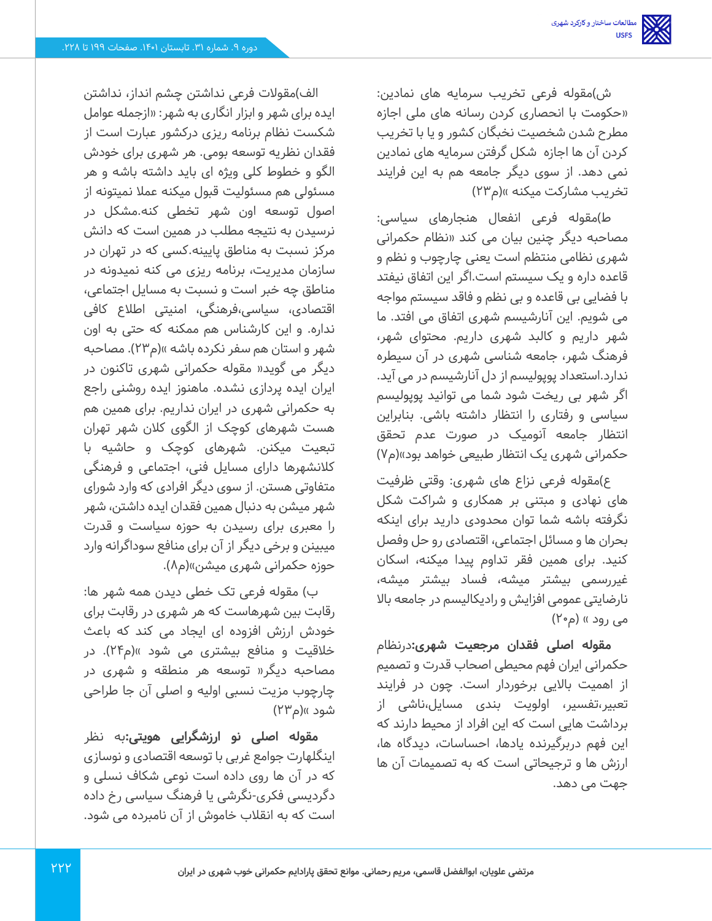ش(مقوله فرعی تخریب سرمایه های نمادین: »حکومت با انحصاری کردن رسانه های ملی اجازه مطرح شدن شخصیت نخبگان کشور و یا با تخریب کردن آن ها اجازه شکل گرفتن سرمایه های نمادین نمی دهد. از سوی دیگر جامعه هم به این فرایند تخریب مشارکت میکنه »(م۲۳)

ط)مقوله فرعی انفعال هنجارهای سیاسی: مصاحبه دیگر چنین بیان می کند »نظام حکمرانی شهری نظامی منتظم است یعنی چارچوب و نظم و قاعده داره و یک سیستم است.اگر این اتفاق نیفتد با فضایی بی قاعده و بی نظم و فاقد سیستم مواجه می شویم. این آنارشیسم شهری اتفاق می افتد. ما شهر داریم و کالبد شهری داریم. محتوای شهر، فرهنگ شهر، جامعه شناسی شهری در آن سیطره ندارد.استعداد پوپولیسم از دل آنارشیسم در می آید. اگر شهر بی ریخت شود شما می توانید پوپولیسم سیاسی و رفتاری را انتظار داشته باشی. بنابراین انتظار جامعه آنومیک در صورت عدم تحقق حکمرانی شهری یک انتظار طبیعی خواهد بود»(م۷)

ع)مقوله فرعی نزاع های شهری: وقتی ظرفیت های نهادی و مبتنی بر همکاری و شراکت شکل نگرفته باشه شما توان محدودی دارید برای اینکه بحران ها و مسائل اجتماعی، اقتصادی رو حل وفصل کنید. برای همین فقر تداوم پیدا میکنه، اسکان غیررسمی بیشتر میشه، فساد بیشتر میشه، نارضایتی عمومی افزایش و رادیکالیسم در جامعه باال می رود » (م۲۰)

**مقوله اصلی فقدان مرجعیت شهری:** درنظام حکمرانی ایران فهم محیطی اصحاب قدرت و تصمیم از اهمیت باالیی برخوردار است. چون در فرایند تعبیر،تفسیر، اولویت بندی مسایل،ناشی از برداشت هایی است که این افراد از محیط دارند که این فهم دربرگیرنده یادها، احساسات، دیدگاه ها، ارزش ها و ترجیحاتی است که به تصمیمات آن ها جهت می دهد.

الف)مقولات فرعی نداشتن چشم انداز، نداشتن ایده برای شهر و ابزار انگاری به شهر: »ازجمله عوامل شکست نظام برنامه ریزی درکشور عبارت است از فقدان نظریه توسعه بومی. هر شهری برای خودش الگو و خطوط کلی ویژه ای باید داشته باشه و هر مسئولی هم مسئولیت قبول میکنه عمال نمیتونه از اصول توسعه اون شهر تخطی کنه.مشکل در نرسیدن به نتیجه مطلب در همین است که دانش مرکز نسبت به مناطق پایینه.کسی که در تهران در سازمان مدیریت، برنامه ریزی می کنه نمیدونه در مناطق چه خبر است و نسبت به مسایل اجتماعی، اقتصادی، سیاسی،فرهنگی، امنیتی اطالع کافی نداره. و این کارشناس هم ممکنه که حتی به اون شهر و استان هم سفر نکرده باشه »(م۲۳). مصاحبه دیگر می گوید» مقوله حکمرانی شهری تاکنون در ایران ایده پردازی نشده. ماهنوز ایده روشنی راجع به حکمرانی شهری در ایران نداریم. برای همین هم هست شهرهای کوچک از الگوی کالن شهر تهران تبعیت میکنن. شهرهای کوچک و حاشیه با کالنشهرها دارای مسایل فنی، اجتماعی و فرهنگی متفاوتی هستن. از سوی دیگر افرادی که وارد شورای شهر میشن به دنبال همین فقدان ایده داشتن، شهر را معبری برای رسیدن به حوزه سیاست و قدرت میبینن و برخی دیگر از آن برای منافع سوداگرانه وارد حوزه حکمرانی شهری میشن«)م8(.

ب) مقوله فرعی تک خطی دیدن همه شهر ها: رقابت بین شهرهاست که هر شهری در رقابت برای خودش ارزش افزوده ای ایجاد می کند که باعث خلاقیت و منافع بیشتری می شود »(م۲۴). در مصاحبه دیگر» توسعه هر منطقه و شهری در چارچوب مزیت نسبی اولیه و اصلی آن جا طراحی شود »(م۲۳)

**مقوله اصلی نو ارزشگرایی هویتی:**به نظر اینگلهارت جوامع غربی با توسعه اقتصادی و نوسازی که در آن ها روی داده است نوعی شکاف نسلی و دگردیسی فکری-نگرشی یا فرهنگ سیاسی رخ داده است که به انقالب خاموش از آن نامبرده می شود.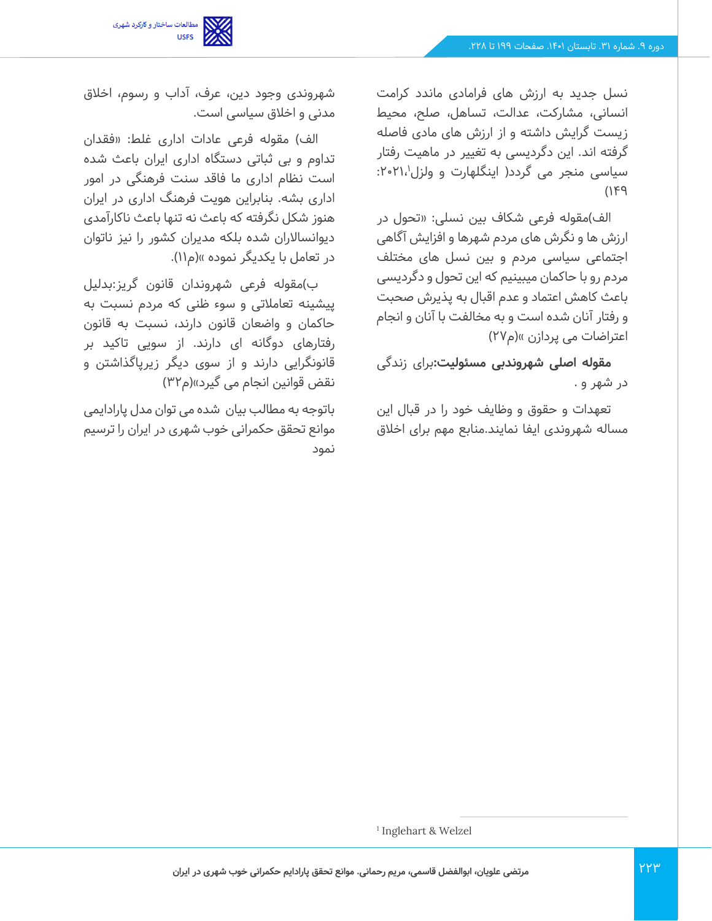

نسل جدید به ارزش های فرامادی ماندد کرامت انسانی، مشارکت، عدالت، تساهل، صلح، محیط زیست گرایش داشته و از ارزش های مادی فاصله گرفته اند. این دگردیسی به تغییر در ماهیت رفتار سیاسی منجر می گردد( اینگلهارت و ولزل۲۱،۱٬۰۲۱٬  $(149)$ 

الف)مقوله فرعی شکاف بین نسلی: «تحول در ارزش ها و نگرش های مردم شهرها و افزایش آگاهی اجتماعی سیاسی مردم و بین نسل های مختلف مردم رو با حاکمان میبینیم که این تحول و دگردیسی باعث کاهش اعتماد و عدم اقبال به پذیرش صحبت و رفتار آنان شده است و به مخالفت با آنان و انجام اعتراضات می پردازن »(م۲۷)

**مقوله اصلی شهروندبی مسئولیت:**برای زندگی در شهر و .

تعهدات و حقوق و وظایف خود را در قبال این مساله شهروندی ایفا نمایند.منابع مهم برای اخالق

شهروندی وجود دین، عرف، آداب و رسوم، اخالق مدنی و اخالق سیاسی است.

الف) مقوله فرعی عادات اداری غلط: «فقدان تداوم و بی ثباتی دستگاه اداری ایران باعث شده است نظام اداری ما فاقد سنت فرهنگی در امور اداری بشه. بنابراین هویت فرهنگ اداری در ایران هنوز شکل نگر فته که باعث نه تنها باعث ناکارآمدی دیوانساالران شده بلکه مدیران کشور را نیز ناتوان در تعامل با یکدیگر نموده «)م11(.

ب(مقوله فرعی شهروندان قانون گریز:بدلیل پیشینه تعامالتی و سوء ظنی که مردم نسبت به حاکمان و واضعان قانون دارند، نسبت به قانون رفتارهای دوگانه ای دارند. از سویی تاکید بر قانونگرایی دارند و از سوی دیگر زیرپاگذاشتن و نقض قوانین انجام می گیرد»(م۳۲)

باتوجه به مطالب بیان شده می توان مدل پارادایمی موانع تحقق حکمرانی خوب شهری در ایران را ترسیم نمود

<sup>1</sup> Inglehart & Welzel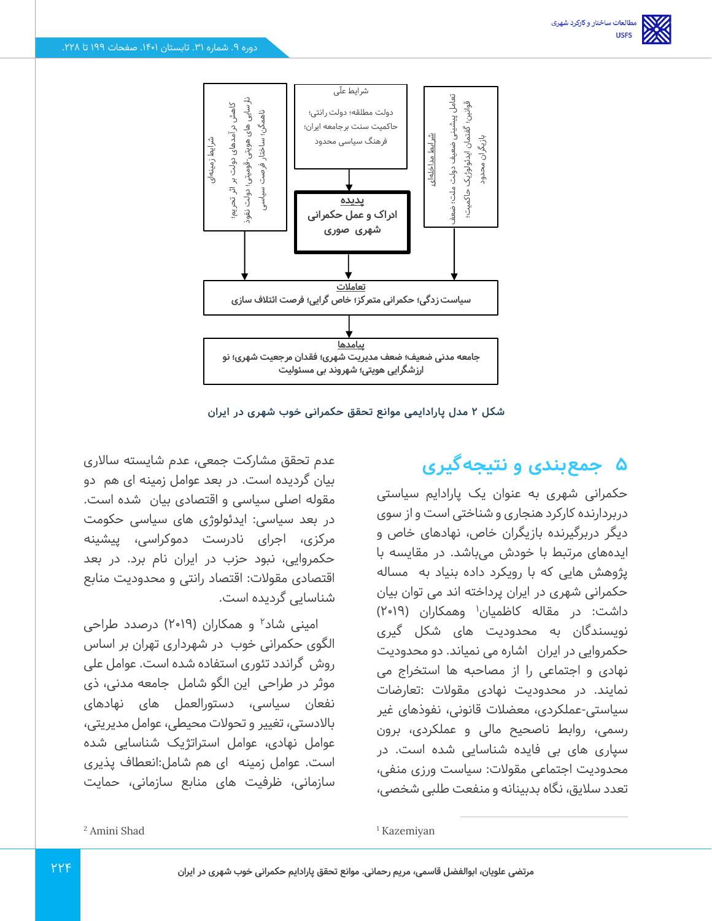

**شکل 2 مدل پارادایمی موانع تحقق حکمرانی خوب شهری در ایران** 

# **5 جمعبندی و نتیجهگیری**

حکمرانی شهری به عنوان یک پارادایم سیاستی دربردارنده کارکرد هنجاری و شناختی است و از سوی دیگر دربرگیرنده بازیگران خاص، نهادهای خاص و ایده های مرتبط با خودش می باشد. در مقایسه با پژوهش هایی که با رویکرد داده بنیاد به مساله حکمرانی شهری در ایران پرداخته اند می توان بیان داشت: در مقاله کاظمیان<sup>۱</sup> وهمکاران (۲۰۱۹) نویسندگان به محدودیت های شکل گیری حکمروایی در ایران اشاره می نمیاند. دو محدودیت نهادی و اجتماعی را از مصاحبه ها استخراج می نمایند. در محدودیت نهادی مقوالت :تعارضات سیاستی-عملکردی، معضالت قانونی، نفو ذهای غیر رسمی، روابط ناصحیح مالی و عملکردی، برون سپاری های بی فایده شناسایی شده است. در محدودیت اجتماعی مقوالت: سیاست ورزی منفی، تعدد سالیق، نگاه بدبینانه و منفعت طلبی شخصی،

عدم تحقق مشارکت جمعی، عدم شایسته ساالری بیان گردیده است. در بعد عوامل زمینه ای هم دو مقوله اصلی سیاسی و اقتصادی بیان شده است. در بعد سیاسی: ایدئولوژی های سیاسی حکومت مرکزی، اجرای نادرست دموکراسی، پیشینه حکمروایی، نبود حزب در ایران نام برد. در بعد اقتصادی مقوالت: اقتصاد رانتی و محدودیت منابع شناسایی گردیده است.

امینی شاد<sup>۲</sup> و همکاران (۲۰۱۹) درصدد طراحی الگوی حکمرانی خوب در شهرداری تهران بر اساس روش گراندد تئوری استفاده شده است. عوامل علی موثر در طراحی این الگو شامل جامعه مدنی، ذی نفعان سیاسی، دستورالعمل های نهادهای باالدستی، تغییر و تحوالت محیطی، عوامل مدیریتی، عوامل نهادی، عوامل استراتژیک شناسایی شده است. عوامل زمینه ای هم شامل:انعطاف پذیری سازمانی، ظرفیت های منابع سازمانی، حمایت

<sup>1</sup> Kazemiyan

<sup>2</sup> Amini Shad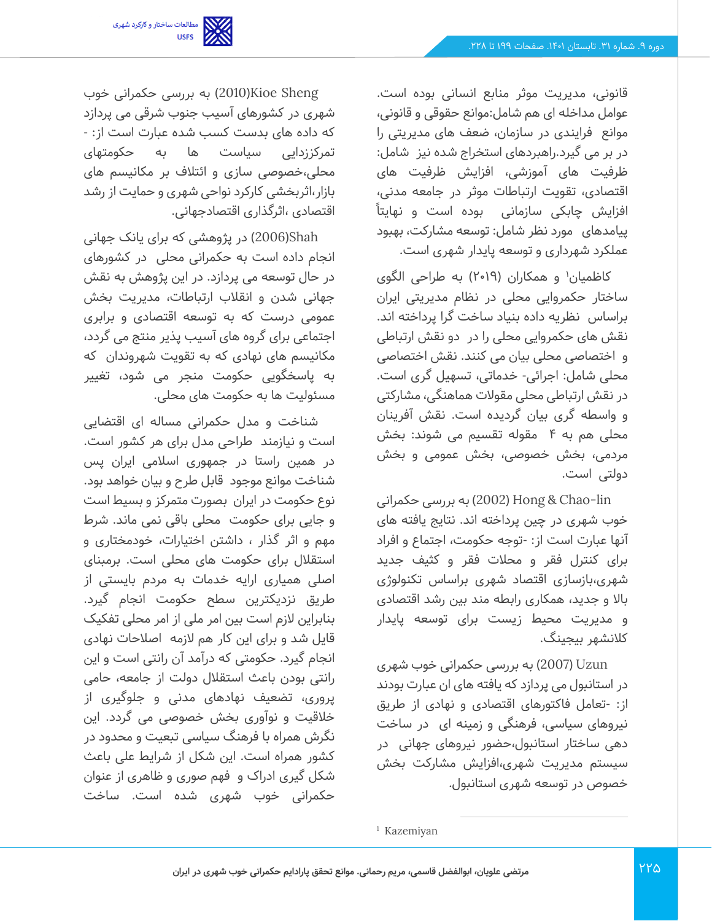

قانونی، مدیریت موثر منابع انسانی بوده است. عوامل مداخله ای هم شامل:موانع حقوقی و قانونی، موانع فرایندی در سازمان، ضعف های مدیریتی را در بر می گیرد.راهبردهای استخراج شده نیز شامل: ظرفیت های آموزشی، افزایش ظرفیت های اقتصادی، تقویت ارتباطات موثر در جامعه مدنی، افزایش چابکی سازمانی بوده است و نهایتا ً پیامدهای مورد نظر شامل: توسعه مشارکت، بهبود عملکرد شهرداری و توسعه پایدار شهری است.

کاظمیان' و همکاران (۲۰۱۹) به طراحی الگوی ساختار حکمروایی محلی در نظام مدیریتی ایران براساس نظریه داده بنیاد ساخت گرا پرداخته اند. نقش های حکمروایی محلی را در دو نقش ارتباطی و اختصاصی محلی بیان می کنند. نقش اختصاصی محلی شامل: اجرائی- خدماتی، تسهیل گری است. در نقش ارتباطی محلی مقولات هماهنگی، مشارکتی و واسطه گری بیان گردیده است. نقش آفرینان محلی هم به 4 مقوله تقسیم می شوند: بخش مردمی، بخش خصوصی، بخش عمومی و بخش دولتی است.

lin-Chao & Hong( 2002 )به بررسی حکمرانی خوب شهری در چین پرداخته اند. نتایج یافته های آنها عبارت است از: -توجه حکومت، اجتماع و افراد برای کنترل فقر و محالت فقر و کثیف جدید شهری،بازسازی اقتصاد شهری براساس تکنولوژی باال و جدید، همکاری رابطه مند بین رشد اقتصادی و مدیریت محیط زیست برای توسعه پایدار کالنشهر بیجینگ.

Uzun( 2007 )به بررسی حکمرانی خوب شهری در استانبول می پردازد که یافته های ان عبارت بودند از: -تعامل فاکتورهای اقتصادی و نهادی از طریق نیروهای سیاسی، فرهنگی و زمینه ای در ساخت دهی ساختار استانبول ،حضور نیروهای جهانی در سیستم مدیریت شهری،افزایش مشارکت بخش خصوص در توسعه شهری استانبول .

Sheng Kioe(2010 )به بررسی حکمرانی خوب شهری در کشورهای آسیب جنوب شرقی می پردازد که داده های بدست کسب شده عبارت است از: - تمرکززدایی سیاست ها به حکومتهای محلی،خصوصی سازی و ائتالف بر مکانیسم های بازار،اثربخشی کارکرد نواحی شهری و حمایت از رشد اقتصادی ،اثرگذاری اقتصادجهانی.

Shah(2006 )در پژوهشی که برای یانک جهانی انجام داده است به حکمرانی محلی در کشورهای در حال توسعه می پردازد. در این پژوهش به نقش جهانی شدن و انقالب ارتباطات، مدیریت بخش عمومی درست که به توسعه اقتصادی و برابری اجتماعی برای گروه های آسیب پذیر منتج می گردد، مکانیسم های نهادی که به تقویت شهروندان که به پاسخگویی حکومت منجر می شود، تغییر مسئولیت ها به حکومت های محلی.

شناخت و مدل حکمرانی مساله ای اقتضایی است و نیازمند طراحی مدل برای هر کشور است. در همین راستا در جمهوری اسالمی ایران پس شناخت موانع موجود قابل طرح و بیان خواهد بود. نوع حکومت در ایران بصورت متمرکز و بسیط است و جایی برای حکومت محلی باقی نمی ماند. شرط مهم و اثر گذار ، داشتن اختیارات، خودمختاری و استقالل برای حکومت های محلی است. برمبنای اصلی همیاری ارایه خدمات به مردم بایستی از طریق نزدیکترین سطح حکومت انجام گیرد. بنابراین لازم است بین امر ملی از امر محلی تفکیک قایل شد و برای این کار هم الزمه اصالحات نهادی انجام گیرد. حکومتی که درآمد آن رانتی است و این رانتی بودن باعث استقالل دولت از جامعه، حامی پروری، تضعیف نهادهای مدنی و جلوگیری از خالقیت و نوآوری بخش خصوصی می گردد. این نگرش همراه با فرهنگ سیاسی تبعیت و محدود در کشور همراه است. این شکل از شرایط علی باعث شکل گیری ادراک و فهم صوری و ظاهری از عنوان حکمرانی خوب شهری شده است. ساخت

<sup>1</sup> Kazemiyan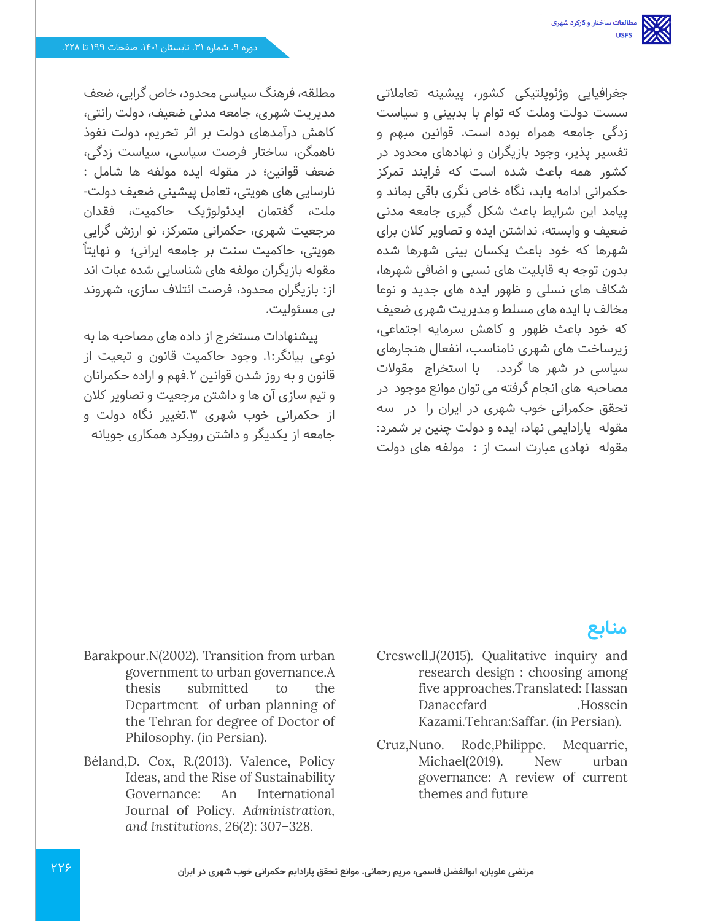جغرافیایی وژئوپلتیکی کشور، پیشینه تعامالتی سست دولت وملت که توام با بدبینی و سیاست زدگی جامعه همراه بوده است. قوانین مبهم و تفسیر پذیر، وجود بازیگران و نهادهای محدود در کشور همه باعث شده است که فرایند تمرکز حکمرانی ادامه یابد، نگاه خاص نگری باقی بماند و پیامد این شرایط باعث شکل گیری جامعه مدنی ضعیف و وابسته، نداشتن ایده و تصاویر کالن برای شهرها که خود باعث یکسان بینی شهرها شده بدون توجه به قابلیت های نسبی و اضافی شهرها، شکاف های نسلی و ظهور ایده های جدید و نوعا مخالف با ایده های مسلط و مدیریت شهری ضعیف که خود باعث ظهور و کاهش سرمایه اجتماعی، زیرساخت های شهری نامناسب، انفعال هنجارهای سیاسی در شهر ها گردد. با استخراج مقوالت مصاحبه های انجام گرفته می توان موانع موجود در تحقق حکمرانی خوب شهری در ایران را در سه مقوله پارادایمی نهاد، ایده و دولت چنین بر شمرد: مقوله نهادی عبارت است از : مولفه های دولت

مطلقه، فرهنگ سیاسی محدود، خاص گر ایی، ضعف مدیریت شهری، جامعه مدنی ضعیف، دولت رانتی، کاهش درآمدهای دولت بر اثر تحریم، دولت نفوذ ناهمگن، ساختار فرصت سیاسی، سیاست زدگی، ضعف قوانین؛ در مقوله ایده مولفه ها شامل : نارسایی های هویتی، تعامل پیشینی ضعیف دولت - ملت، گفتمان ایدئولوژیک حاکمیت، فقدان مر جعیت شهری، حکمرانی متمرکز، نو ارزش گرایی هویتی، حاکمیت سنت بر جامعه ایرانی؛ و نهایتا ً مقوله بازیگران مولفه های شناسایی شده عبات اند از: بازیگران محدود، فرصت ائتالف سازی، شهروند بی مسئولیت.

پیشنهادات مستخرج از داده های مصاحبه ها به نوعی بیانگر.1: وجود حاکمیت قانون و تبعیت از قانون و به روز شدن قوانین .2فهم و اراده حکمرانان و تیم سازی آن ها و داشتن مرجعیت و تصاویر کالن از حکمرانی خوب شهری ۳.تغییر نگاه دولت و جامعه از یکدیگر و داشتن رویکرد همکاری جویانه

## **منابع**

- Barakpour.N(2002). Transition from urban government to urban governance.A thesis submitted to the Department of urban planning of the Tehran for degree of Doctor of Philosophy. (in Persian).
- Béland,D. Cox, R.(2013). Valence, Policy Ideas, and the Rise of Sustainability Governance: An International Journal of Policy. *Administration, and Institutions*, 26(2): 307–328.
- Creswell,J(2015). Qualitative inquiry and research design : choosing among five approaches.Translated: Hassan Danaeefard .Hossein Kazami.Tehran:Saffar. (in Persian).
- Cruz,Nuno. Rode,Philippe. Mcquarrie, Michael(2019). New urban governance: A review of current themes and future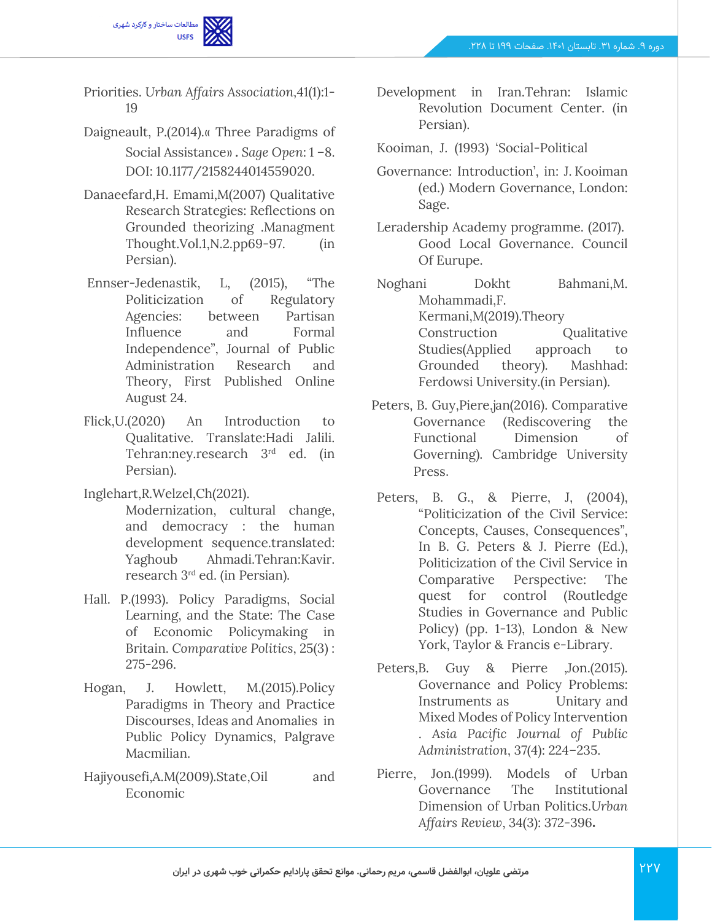

Priorities. *Urban Affairs Association,*41(1):1- 19

- Daigneault, P.(2014).» Three Paradigms of Social Assistance». Sage Open: 1-8. DOI: 10.1177/2158244014559020.
- Danaeefard,H. Emami,M(2007) Qualitative Research Strategies: Reflections on Grounded theorizing .Managment Thought.Vol.1,N.2.pp69-97. (in Persian).
- Ennser-Jedenastik, L, (2015), "The Politicization of Regulatory Agencies: between Partisan Influence and Formal Independence", Journal of Public Administration Research and Theory, First Published Online August 24.
- Flick,U.(2020) An Introduction to Qualitative. Translate:Hadi Jalili. Tehran:ney.research 3<sup>rd</sup> ed. (in Persian).
- Inglehart,R.Welzel,Ch(2021).
	- Modernization, cultural change, and democracy : the human development sequence.translated: Yaghoub Ahmadi.Tehran:Kavir. research 3rd ed. (in Persian).
- Hall. P.(1993). Policy Paradigms, Social Learning, and the State: The Case of Economic Policymaking in Britain. *Comparative Politics*, 25(3) : 275-296.
- Hogan, J. Howlett, M.(2015).Policy Paradigms in Theory and Practice Discourses, Ideas and Anomalies in Public Policy Dynamics, Palgrave Macmilian.
- Hajiyousefi,A.M(2009).State,Oil and Economic
- Development in Iran.Tehran: Islamic Revolution Document Center. (in Persian).
- Kooiman, J. (1993) 'Social-Political
- Governance: Introduction', in: J. Kooiman (ed.) Modern Governance, London: Sage.
- Leradership Academy programme. (2017). Good Local Governance. Council Of Eurupe.

Noghani Dokht Bahmani,M. Mohammadi,F. Kermani,M(2019).Theory Construction Qualitative Studies(Applied approach to Grounded theory). Mashhad: Ferdowsi University.(in Persian).

- Peters, B. Guy,Piere,jan(2016). Comparative Governance (Rediscovering the Functional Dimension of Governing). Cambridge University Press.
- Peters, B. G., & Pierre, J, (2004), "Politicization of the Civil Service: Concepts, Causes, Consequences", In B. G. Peters & J. Pierre (Ed.), Politicization of the Civil Service in Comparative Perspective: The quest for control (Routledge Studies in Governance and Public Policy) (pp. 1-13), London & New York, Taylor & Francis e-Library.
- Peters,B. Guy & Pierre ,Jon.(2015). Governance and Policy Problems: Instruments as Unitary and Mixed Modes of Policy Intervention . *Asia Pacific Journal of Public Administration*, 37(4): 224–235.
- Pierre,Jon.(1999). Models of Urban Governance The Institutional Dimensionof Urban Politics.*Urban Affairs Review*, 34(3): 372-396**.**